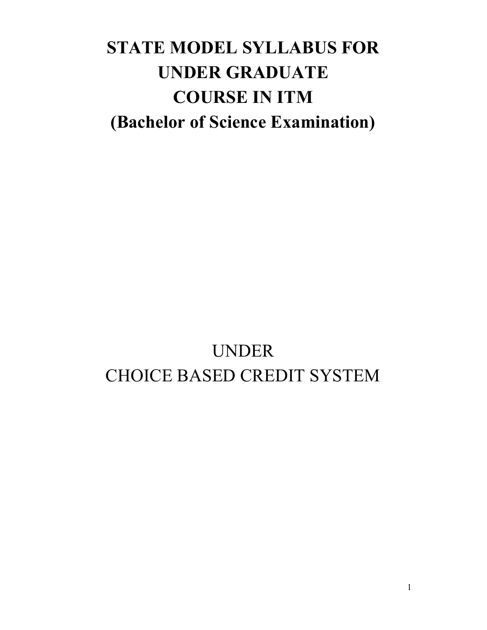# **STATE MODEL SYLLABUS FOR UNDER GRADUATE COURSE IN ITM (Bachelor of Science Examination)**

# UNDER CHOICE BASED CREDIT SYSTEM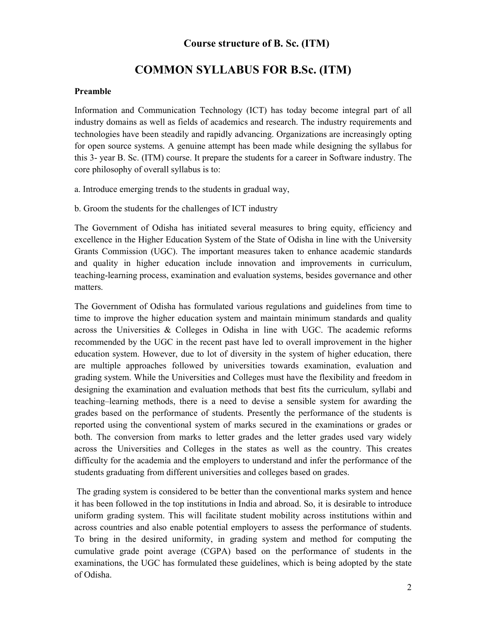# **Course structure of B. Sc. (ITM)**

# **COMMON SYLLABUS FOR B.Sc. (ITM)**

#### **Preamble**

Information and Communication Technology (ICT) has today become integral part of all industry domains as well as fields of academics and research. The industry requirements and technologies have been steadily and rapidly advancing. Organizations are increasingly opting for open source systems. A genuine attempt has been made while designing the syllabus for this 3- year B. Sc. (ITM) course. It prepare the students for a career in Software industry. The core philosophy of overall syllabus is to:

a. Introduce emerging trends to the students in gradual way,

b. Groom the students for the challenges of ICT industry

The Government of Odisha has initiated several measures to bring equity, efficiency and excellence in the Higher Education System of the State of Odisha in line with the University Grants Commission (UGC). The important measures taken to enhance academic standards and quality in higher education include innovation and improvements in curriculum, teaching-learning process, examination and evaluation systems, besides governance and other matters.

The Government of Odisha has formulated various regulations and guidelines from time to time to improve the higher education system and maintain minimum standards and quality across the Universities & Colleges in Odisha in line with UGC. The academic reforms recommended by the UGC in the recent past have led to overall improvement in the higher education system. However, due to lot of diversity in the system of higher education, there are multiple approaches followed by universities towards examination, evaluation and grading system. While the Universities and Colleges must have the flexibility and freedom in designing the examination and evaluation methods that best fits the curriculum, syllabi and teaching–learning methods, there is a need to devise a sensible system for awarding the grades based on the performance of students. Presently the performance of the students is reported using the conventional system of marks secured in the examinations or grades or both. The conversion from marks to letter grades and the letter grades used vary widely across the Universities and Colleges in the states as well as the country. This creates difficulty for the academia and the employers to understand and infer the performance of the students graduating from different universities and colleges based on grades.

 The grading system is considered to be better than the conventional marks system and hence it has been followed in the top institutions in India and abroad. So, it is desirable to introduce uniform grading system. This will facilitate student mobility across institutions within and across countries and also enable potential employers to assess the performance of students. To bring in the desired uniformity, in grading system and method for computing the cumulative grade point average (CGPA) based on the performance of students in the examinations, the UGC has formulated these guidelines, which is being adopted by the state of Odisha.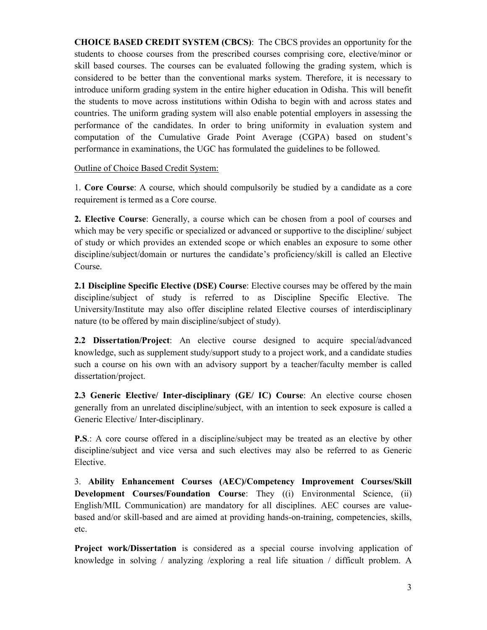**CHOICE BASED CREDIT SYSTEM (CBCS)**: The CBCS provides an opportunity for the students to choose courses from the prescribed courses comprising core, elective/minor or skill based courses. The courses can be evaluated following the grading system, which is considered to be better than the conventional marks system. Therefore, it is necessary to introduce uniform grading system in the entire higher education in Odisha. This will benefit the students to move across institutions within Odisha to begin with and across states and countries. The uniform grading system will also enable potential employers in assessing the performance of the candidates. In order to bring uniformity in evaluation system and computation of the Cumulative Grade Point Average (CGPA) based on student's performance in examinations, the UGC has formulated the guidelines to be followed.

Outline of Choice Based Credit System:

1. **Core Course**: A course, which should compulsorily be studied by a candidate as a core requirement is termed as a Core course.

**2. Elective Course**: Generally, a course which can be chosen from a pool of courses and which may be very specific or specialized or advanced or supportive to the discipline/ subject of study or which provides an extended scope or which enables an exposure to some other discipline/subject/domain or nurtures the candidate's proficiency/skill is called an Elective Course.

**2.1 Discipline Specific Elective (DSE) Course**: Elective courses may be offered by the main discipline/subject of study is referred to as Discipline Specific Elective. The University/Institute may also offer discipline related Elective courses of interdisciplinary nature (to be offered by main discipline/subject of study).

**2.2 Dissertation/Project**: An elective course designed to acquire special/advanced knowledge, such as supplement study/support study to a project work, and a candidate studies such a course on his own with an advisory support by a teacher/faculty member is called dissertation/project.

**2.3 Generic Elective/ Inter-disciplinary (GE/ IC) Course**: An elective course chosen generally from an unrelated discipline/subject, with an intention to seek exposure is called a Generic Elective/ Inter-disciplinary.

**P.S**.: A core course offered in a discipline/subject may be treated as an elective by other discipline/subject and vice versa and such electives may also be referred to as Generic Elective.

3. **Ability Enhancement Courses (AEC)/Competency Improvement Courses/Skill Development Courses/Foundation Course**: They ((i) Environmental Science, (ii) English/MIL Communication) are mandatory for all disciplines. AEC courses are valuebased and/or skill-based and are aimed at providing hands-on-training, competencies, skills, etc.

**Project work/Dissertation** is considered as a special course involving application of knowledge in solving / analyzing /exploring a real life situation / difficult problem. A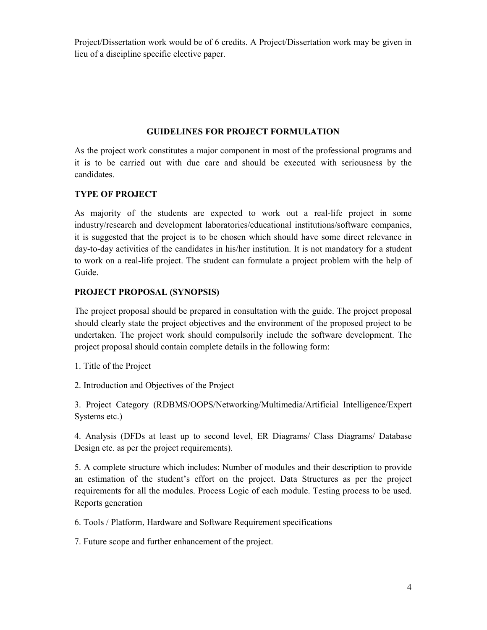Project/Dissertation work would be of 6 credits. A Project/Dissertation work may be given in lieu of a discipline specific elective paper.

# **GUIDELINES FOR PROJECT FORMULATION**

As the project work constitutes a major component in most of the professional programs and it is to be carried out with due care and should be executed with seriousness by the candidates.

# **TYPE OF PROJECT**

As majority of the students are expected to work out a real-life project in some industry/research and development laboratories/educational institutions/software companies, it is suggested that the project is to be chosen which should have some direct relevance in day-to-day activities of the candidates in his/her institution. It is not mandatory for a student to work on a real-life project. The student can formulate a project problem with the help of Guide.

#### **PROJECT PROPOSAL (SYNOPSIS)**

The project proposal should be prepared in consultation with the guide. The project proposal should clearly state the project objectives and the environment of the proposed project to be undertaken. The project work should compulsorily include the software development. The project proposal should contain complete details in the following form:

1. Title of the Project

2. Introduction and Objectives of the Project

3. Project Category (RDBMS/OOPS/Networking/Multimedia/Artificial Intelligence/Expert Systems etc.)

4. Analysis (DFDs at least up to second level, ER Diagrams/ Class Diagrams/ Database Design etc. as per the project requirements).

5. A complete structure which includes: Number of modules and their description to provide an estimation of the student's effort on the project. Data Structures as per the project requirements for all the modules. Process Logic of each module. Testing process to be used. Reports generation

6. Tools / Platform, Hardware and Software Requirement specifications

7. Future scope and further enhancement of the project.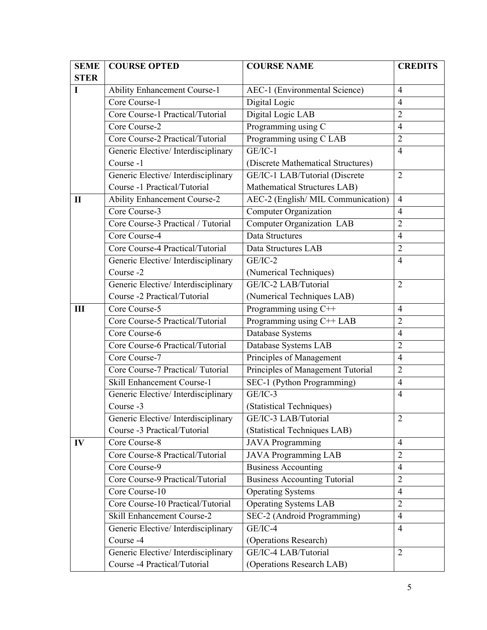| <b>SEME</b>  | <b>COURSE OPTED</b>                 | <b>COURSE NAME</b>                  | <b>CREDITS</b> |
|--------------|-------------------------------------|-------------------------------------|----------------|
| <b>STER</b>  |                                     |                                     |                |
| I            | <b>Ability Enhancement Course-1</b> | AEC-1 (Environmental Science)       | $\overline{4}$ |
|              | Core Course-1                       | Digital Logic                       | $\overline{4}$ |
|              | Core Course-1 Practical/Tutorial    | Digital Logic LAB                   | $\overline{2}$ |
|              | Core Course-2                       | Programming using C                 | $\overline{4}$ |
|              | Core Course-2 Practical/Tutorial    | Programming using C LAB             | $\overline{2}$ |
|              | Generic Elective/Interdisciplinary  | $GE/IC-1$                           | $\overline{4}$ |
|              | Course -1                           | (Discrete Mathematical Structures)  |                |
|              | Generic Elective/Interdisciplinary  | GE/IC-1 LAB/Tutorial (Discrete      | $\overline{2}$ |
|              | Course -1 Practical/Tutorial        | Mathematical Structures LAB)        |                |
| $\mathbf{I}$ | <b>Ability Enhancement Course-2</b> | AEC-2 (English/ MIL Communication)  | $\overline{4}$ |
|              | Core Course-3                       | Computer Organization               | $\overline{4}$ |
|              | Core Course-3 Practical / Tutorial  | <b>Computer Organization LAB</b>    | $\overline{2}$ |
|              | Core Course-4                       | Data Structures                     | $\overline{4}$ |
|              | Core Course-4 Practical/Tutorial    | Data Structures LAB                 | $\overline{2}$ |
|              | Generic Elective/Interdisciplinary  | $GE/IC-2$                           | $\overline{4}$ |
|              | Course -2                           | (Numerical Techniques)              |                |
|              | Generic Elective/Interdisciplinary  | GE/IC-2 LAB/Tutorial                | $\overline{2}$ |
|              | Course -2 Practical/Tutorial        | (Numerical Techniques LAB)          |                |
| III          | Core Course-5                       | Programming using C++               | $\overline{4}$ |
|              | Core Course-5 Practical/Tutorial    | Programming using C++ LAB           | $\overline{2}$ |
|              | Core Course-6                       | Database Systems                    | $\overline{4}$ |
|              | Core Course-6 Practical/Tutorial    | Database Systems LAB                | $\overline{2}$ |
|              | Core Course-7                       | Principles of Management            | $\overline{4}$ |
|              | Core Course-7 Practical/Tutorial    | Principles of Management Tutorial   | $\overline{2}$ |
|              | Skill Enhancement Course-1          | SEC-1 (Python Programming)          | $\overline{4}$ |
|              | Generic Elective/Interdisciplinary  | $GE/IC-3$                           | $\overline{4}$ |
|              | Course -3                           | (Statistical Techniques)            |                |
|              | Generic Elective/Interdisciplinary  | GE/IC-3 LAB/Tutorial                | $\overline{2}$ |
|              | Course -3 Practical/Tutorial        | (Statistical Techniques LAB)        |                |
| IV           | Core Course-8                       | <b>JAVA</b> Programming             | $\overline{4}$ |
|              | Core Course-8 Practical/Tutorial    | <b>JAVA Programming LAB</b>         | $\overline{2}$ |
|              | Core Course-9                       | <b>Business Accounting</b>          | $\overline{4}$ |
|              | Core Course-9 Practical/Tutorial    | <b>Business Accounting Tutorial</b> | $\overline{2}$ |
|              | Core Course-10                      | <b>Operating Systems</b>            | $\overline{4}$ |
|              | Core Course-10 Practical/Tutorial   | <b>Operating Systems LAB</b>        | $\overline{2}$ |
|              | Skill Enhancement Course-2          | SEC-2 (Android Programming)         | $\overline{4}$ |
|              | Generic Elective/Interdisciplinary  | GE/IC-4                             | $\overline{4}$ |
|              | Course -4                           | (Operations Research)               |                |
|              | Generic Elective/Interdisciplinary  | GE/IC-4 LAB/Tutorial                | $\overline{2}$ |
|              | Course -4 Practical/Tutorial        | (Operations Research LAB)           |                |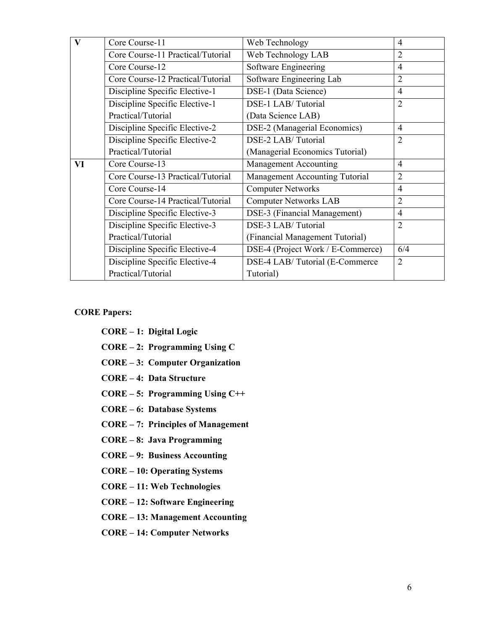| $\mathbf{V}$ | Core Course-11                    | Web Technology                        | 4              |
|--------------|-----------------------------------|---------------------------------------|----------------|
|              | Core Course-11 Practical/Tutorial | Web Technology LAB                    | $\overline{2}$ |
|              | Core Course-12                    | Software Engineering                  | $\overline{4}$ |
|              | Core Course-12 Practical/Tutorial | Software Engineering Lab              | $\overline{2}$ |
|              | Discipline Specific Elective-1    | DSE-1 (Data Science)                  | $\overline{4}$ |
|              | Discipline Specific Elective-1    | DSE-1 LAB/Tutorial                    | $\overline{2}$ |
|              | Practical/Tutorial                | (Data Science LAB)                    |                |
|              | Discipline Specific Elective-2    | DSE-2 (Managerial Economics)          | $\overline{4}$ |
|              | Discipline Specific Elective-2    | DSE-2 LAB/Tutorial                    | $\overline{2}$ |
|              | Practical/Tutorial                | (Managerial Economics Tutorial)       |                |
| VI           | Core Course-13                    | <b>Management Accounting</b>          | $\overline{4}$ |
|              | Core Course-13 Practical/Tutorial | <b>Management Accounting Tutorial</b> | $\overline{2}$ |
|              | Core Course-14                    | <b>Computer Networks</b>              | $\overline{4}$ |
|              | Core Course-14 Practical/Tutorial | <b>Computer Networks LAB</b>          | $\overline{2}$ |
|              | Discipline Specific Elective-3    | DSE-3 (Financial Management)          | $\overline{4}$ |
|              | Discipline Specific Elective-3    | DSE-3 LAB/Tutorial                    | $\overline{2}$ |
|              | Practical/Tutorial                | (Financial Management Tutorial)       |                |
|              | Discipline Specific Elective-4    | DSE-4 (Project Work / E-Commerce)     | 6/4            |
|              | Discipline Specific Elective-4    | DSE-4 LAB/Tutorial (E-Commerce        | $\overline{2}$ |
|              |                                   |                                       |                |
|              | Practical/Tutorial                | Tutorial)                             |                |

#### **CORE Papers:**

- **CORE 1: Digital Logic**
- **CORE 2: Programming Using C**
- **CORE 3: Computer Organization**
- **CORE 4: Data Structure**
- **CORE 5: Programming Using C++**
- **CORE 6: Database Systems**
- **CORE 7: Principles of Management**
- **CORE 8: Java Programming**
- **CORE 9: Business Accounting**
- **CORE 10: Operating Systems**
- **CORE 11: Web Technologies**
- **CORE 12: Software Engineering**
- **CORE 13: Management Accounting**
- **CORE 14: Computer Networks**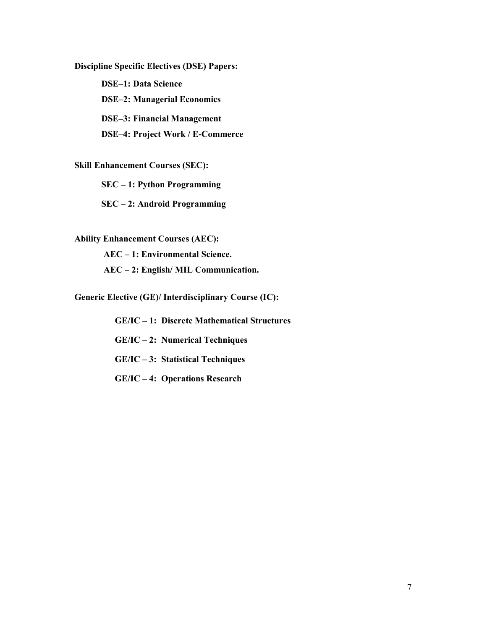**Discipline Specific Electives (DSE) Papers:**

**DSE–1: Data Science** 

 **DSE–2: Managerial Economics**

**DSE–3: Financial Management** 

**DSE–4: Project Work / E-Commerce** 

**Skill Enhancement Courses (SEC):**

**SEC – 1: Python Programming** 

**SEC – 2: Android Programming** 

**Ability Enhancement Courses (AEC):** 

 **AEC – 1: Environmental Science.** 

 **AEC – 2: English/ MIL Communication.** 

**Generic Elective (GE)/ Interdisciplinary Course (IC):** 

 **GE/IC – 1: Discrete Mathematical Structures** 

 **GE/IC – 2: Numerical Techniques** 

 **GE/IC – 3: Statistical Techniques** 

**GE/IC – 4: Operations Research**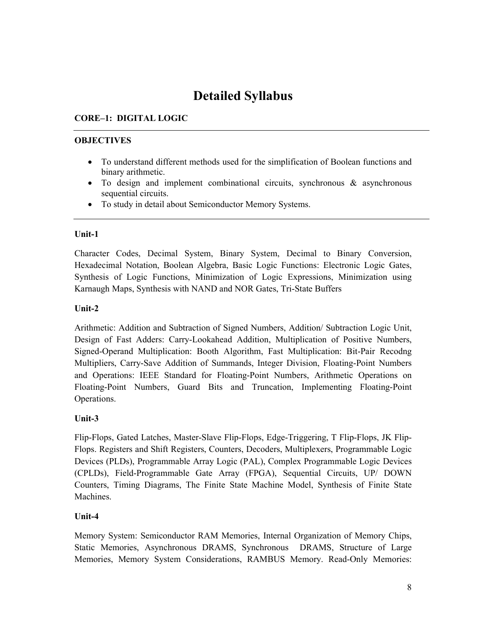# **Detailed Syllabus**

# **CORE–1: DIGITAL LOGIC**

# **OBJECTIVES**

- To understand different methods used for the simplification of Boolean functions and binary arithmetic.
- To design and implement combinational circuits, synchronous & asynchronous sequential circuits.
- To study in detail about Semiconductor Memory Systems.

# **Unit-1**

Character Codes, Decimal System, Binary System, Decimal to Binary Conversion, Hexadecimal Notation, Boolean Algebra, Basic Logic Functions: Electronic Logic Gates, Synthesis of Logic Functions, Minimization of Logic Expressions, Minimization using Karnaugh Maps, Synthesis with NAND and NOR Gates, Tri-State Buffers

# **Unit-2**

Arithmetic: Addition and Subtraction of Signed Numbers, Addition/ Subtraction Logic Unit, Design of Fast Adders: Carry-Lookahead Addition, Multiplication of Positive Numbers, Signed-Operand Multiplication: Booth Algorithm, Fast Multiplication: Bit-Pair Recodng Multipliers, Carry-Save Addition of Summands, Integer Division, Floating-Point Numbers and Operations: IEEE Standard for Floating-Point Numbers, Arithmetic Operations on Floating-Point Numbers, Guard Bits and Truncation, Implementing Floating-Point Operations.

# **Unit-3**

Flip-Flops, Gated Latches, Master-Slave Flip-Flops, Edge-Triggering, T Flip-Flops, JK Flip-Flops. Registers and Shift Registers, Counters, Decoders, Multiplexers, Programmable Logic Devices (PLDs), Programmable Array Logic (PAL), Complex Programmable Logic Devices (CPLDs), Field-Programmable Gate Array (FPGA), Sequential Circuits, UP/ DOWN Counters, Timing Diagrams, The Finite State Machine Model, Synthesis of Finite State Machines.

# **Unit-4**

Memory System: Semiconductor RAM Memories, Internal Organization of Memory Chips, Static Memories, Asynchronous DRAMS, Synchronous DRAMS, Structure of Large Memories, Memory System Considerations, RAMBUS Memory. Read-Only Memories: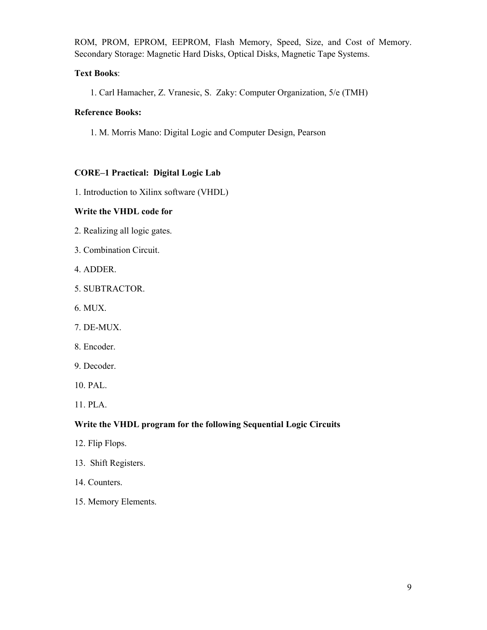ROM, PROM, EPROM, EEPROM, Flash Memory, Speed, Size, and Cost of Memory. Secondary Storage: Magnetic Hard Disks, Optical Disks, Magnetic Tape Systems.

#### **Text Books**:

1. Carl Hamacher, Z. Vranesic, S. Zaky: Computer Organization, 5/e (TMH)

#### **Reference Books:**

1. M. Morris Mano: Digital Logic and Computer Design, Pearson

# **CORE–1 Practical: Digital Logic Lab**

1. Introduction to Xilinx software (VHDL)

#### **Write the VHDL code for**

- 2. Realizing all logic gates.
- 3. Combination Circuit.
- 4. ADDER.
- 5. SUBTRACTOR.
- 6. MUX.
- 7. DE-MUX.
- 8. Encoder.
- 9. Decoder.
- 10. PAL.
- 11. PLA.

# **Write the VHDL program for the following Sequential Logic Circuits**

- 12. Flip Flops.
- 13. Shift Registers.
- 14. Counters.
- 15. Memory Elements.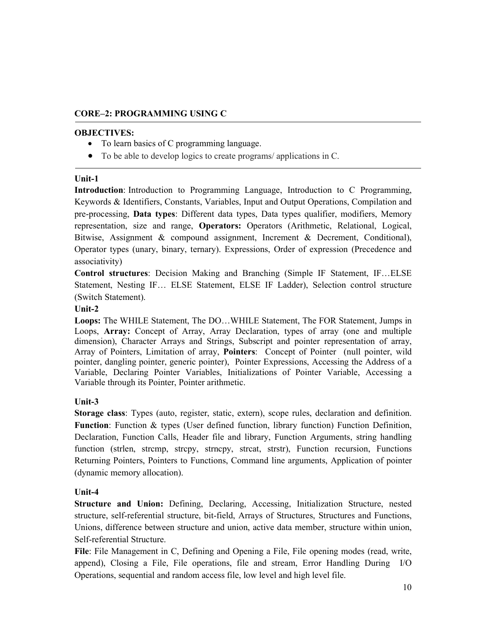#### **CORE–2: PROGRAMMING USING C**

#### **OBJECTIVES:**

- To learn basics of C programming language.
- To be able to develop logics to create programs/ applications in C.

#### **Unit-1**

**Introduction**: Introduction to Programming Language, Introduction to C Programming, Keywords & Identifiers, Constants, Variables, Input and Output Operations, Compilation and pre-processing, **Data types**: Different data types, Data types qualifier, modifiers, Memory representation, size and range, **Operators:** Operators (Arithmetic, Relational, Logical, Bitwise, Assignment & compound assignment, Increment & Decrement, Conditional), Operator types (unary, binary, ternary). Expressions, Order of expression (Precedence and associativity)

**Control structures**: Decision Making and Branching (Simple IF Statement, IF…ELSE Statement, Nesting IF… ELSE Statement, ELSE IF Ladder), Selection control structure (Switch Statement).

#### **Unit-2**

**Loops:** The WHILE Statement, The DO…WHILE Statement, The FOR Statement, Jumps in Loops, **Array:** Concept of Array, Array Declaration, types of array (one and multiple dimension), Character Arrays and Strings, Subscript and pointer representation of array, Array of Pointers, Limitation of array, **Pointers**: Concept of Pointer (null pointer, wild pointer, dangling pointer, generic pointer), Pointer Expressions, Accessing the Address of a Variable, Declaring Pointer Variables, Initializations of Pointer Variable, Accessing a Variable through its Pointer, Pointer arithmetic.

#### **Unit-3**

**Storage class**: Types (auto, register, static, extern), scope rules, declaration and definition. **Function**: Function & types (User defined function, library function) Function Definition, Declaration, Function Calls, Header file and library, Function Arguments, string handling function (strlen, strcmp, strcpy, strncpy, strcat, strstr), Function recursion, Functions Returning Pointers, Pointers to Functions, Command line arguments, Application of pointer (dynamic memory allocation).

#### **Unit-4**

**Structure and Union:** Defining, Declaring, Accessing, Initialization Structure, nested structure, self-referential structure, bit-field, Arrays of Structures, Structures and Functions, Unions, difference between structure and union, active data member, structure within union, Self-referential Structure.

**File**: File Management in C, Defining and Opening a File, File opening modes (read, write, append), Closing a File, File operations, file and stream, Error Handling During I/O Operations, sequential and random access file, low level and high level file.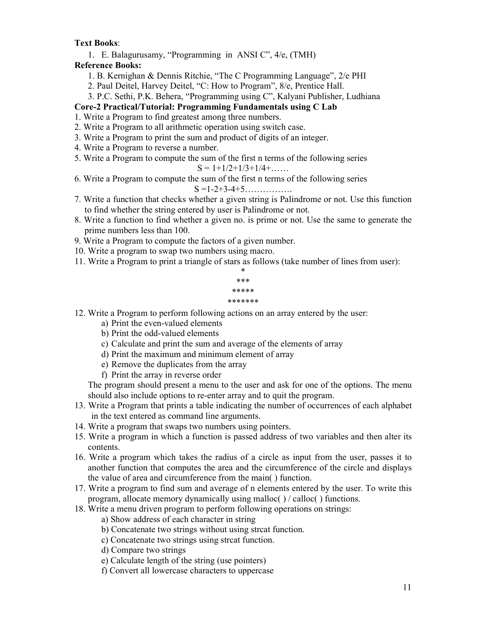#### **Text Books**:

1. E. Balagurusamy, "Programming in ANSI C", 4/e, (TMH)

# **Reference Books:**

- 1. B. Kernighan & Dennis Ritchie, "The C Programming Language", 2/e PHI
- 2. Paul Deitel, Harvey Deitel, "C: How to Program", 8/e, Prentice Hall.
- 3. P.C. Sethi, P.K. Behera, "Programming using C", Kalyani Publisher, Ludhiana

# **Core-2 Practical/Tutorial: Programming Fundamentals using C Lab**

- 1. Write a Program to find greatest among three numbers.
- 2. Write a Program to all arithmetic operation using switch case.
- 3. Write a Program to print the sum and product of digits of an integer.
- 4. Write a Program to reverse a number.
- 5. Write a Program to compute the sum of the first n terms of the following series

$$
S = 1 + 1/2 + 1/3 + 1/4 + \dots
$$

- 6. Write a Program to compute the sum of the first n terms of the following series S =1-2+3-4+5…………….
- 7. Write a function that checks whether a given string is Palindrome or not. Use this function to find whether the string entered by user is Palindrome or not.
- 8. Write a function to find whether a given no. is prime or not. Use the same to generate the prime numbers less than 100.
- 9. Write a Program to compute the factors of a given number.
- 10. Write a program to swap two numbers using macro.
- 11. Write a Program to print a triangle of stars as follows (take number of lines from user):

| *       |
|---------|
| ***     |
| *****   |
| ******* |
|         |

12. Write a Program to perform following actions on an array entered by the user:

- a) Print the even-valued elements
- b) Print the odd-valued elements
- c) Calculate and print the sum and average of the elements of array
- d) Print the maximum and minimum element of array
- e) Remove the duplicates from the array
- f) Print the array in reverse order

The program should present a menu to the user and ask for one of the options. The menu should also include options to re-enter array and to quit the program.

- 13. Write a Program that prints a table indicating the number of occurrences of each alphabet in the text entered as command line arguments.
- 14. Write a program that swaps two numbers using pointers.
- 15. Write a program in which a function is passed address of two variables and then alter its contents.
- 16. Write a program which takes the radius of a circle as input from the user, passes it to another function that computes the area and the circumference of the circle and displays the value of area and circumference from the main( ) function.
- 17. Write a program to find sum and average of n elements entered by the user. To write this program, allocate memory dynamically using malloc( ) / calloc( ) functions.
- 18. Write a menu driven program to perform following operations on strings:
	- a) Show address of each character in string
	- b) Concatenate two strings without using strcat function.
	- c) Concatenate two strings using strcat function.
	- d) Compare two strings
	- e) Calculate length of the string (use pointers)
	- f) Convert all lowercase characters to uppercase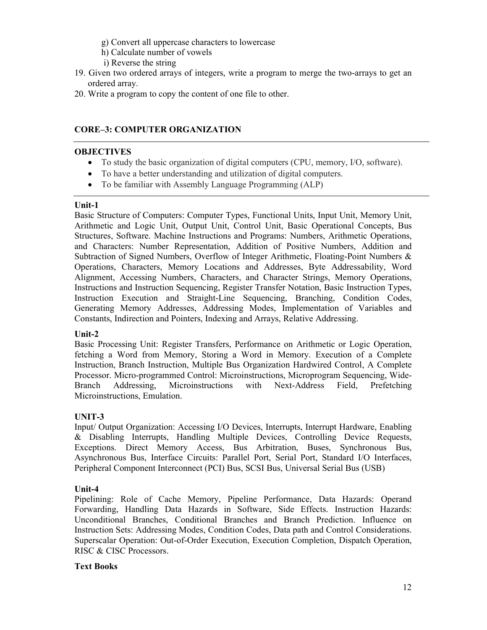- g) Convert all uppercase characters to lowercase
- h) Calculate number of vowels
- i) Reverse the string
- 19. Given two ordered arrays of integers, write a program to merge the two-arrays to get an ordered array.
- 20. Write a program to copy the content of one file to other.

# **CORE–3: COMPUTER ORGANIZATION**

#### **OBJECTIVES**

- To study the basic organization of digital computers (CPU, memory, I/O, software).
- To have a better understanding and utilization of digital computers.
- To be familiar with Assembly Language Programming (ALP)

#### **Unit-1**

Basic Structure of Computers: Computer Types, Functional Units, Input Unit, Memory Unit, Arithmetic and Logic Unit, Output Unit, Control Unit, Basic Operational Concepts, Bus Structures, Software. Machine Instructions and Programs: Numbers, Arithmetic Operations, and Characters: Number Representation, Addition of Positive Numbers, Addition and Subtraction of Signed Numbers, Overflow of Integer Arithmetic, Floating-Point Numbers & Operations, Characters, Memory Locations and Addresses, Byte Addressability, Word Alignment, Accessing Numbers, Characters, and Character Strings, Memory Operations, Instructions and Instruction Sequencing, Register Transfer Notation, Basic Instruction Types, Instruction Execution and Straight-Line Sequencing, Branching, Condition Codes, Generating Memory Addresses, Addressing Modes, Implementation of Variables and Constants, Indirection and Pointers, Indexing and Arrays, Relative Addressing.

#### **Unit-2**

Basic Processing Unit: Register Transfers, Performance on Arithmetic or Logic Operation, fetching a Word from Memory, Storing a Word in Memory. Execution of a Complete Instruction, Branch Instruction, Multiple Bus Organization Hardwired Control, A Complete Processor. Micro-programmed Control: Microinstructions, Microprogram Sequencing, Wide-Branch Addressing, Microinstructions with Next-Address Field, Prefetching Microinstructions, Emulation.

# **UNIT-3**

Input/ Output Organization: Accessing I/O Devices, Interrupts, Interrupt Hardware, Enabling & Disabling Interrupts, Handling Multiple Devices, Controlling Device Requests, Exceptions. Direct Memory Access, Bus Arbitration, Buses, Synchronous Bus, Asynchronous Bus, Interface Circuits: Parallel Port, Serial Port, Standard I/O Interfaces, Peripheral Component Interconnect (PCI) Bus, SCSI Bus, Universal Serial Bus (USB)

# **Unit-4**

Pipelining: Role of Cache Memory, Pipeline Performance, Data Hazards: Operand Forwarding, Handling Data Hazards in Software, Side Effects. Instruction Hazards: Unconditional Branches, Conditional Branches and Branch Prediction. Influence on Instruction Sets: Addressing Modes, Condition Codes, Data path and Control Considerations. Superscalar Operation: Out-of-Order Execution, Execution Completion, Dispatch Operation, RISC & CISC Processors.

# **Text Books**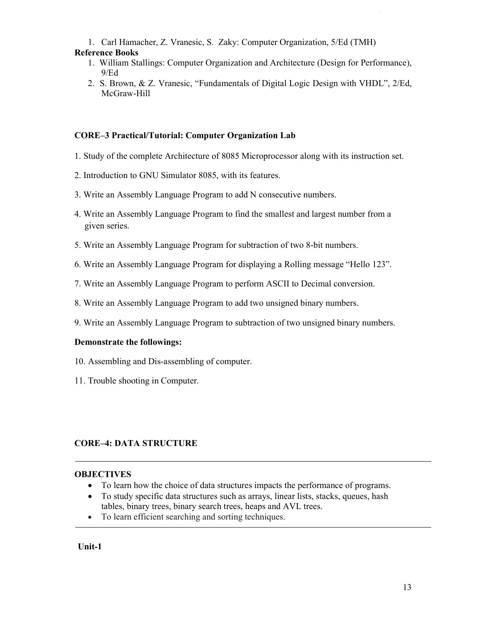1. Carl Hamacher, Z. Vranesic, S. Zaky: Computer Organization, 5/Ed (TMH)

- **Reference Books** 
	- 1. William Stallings: Computer Organization and Architecture (Design for Performance), 9/Ed
	- 2. S. Brown, & Z. Vranesic, "Fundamentals of Digital Logic Design with VHDL", 2/Ed, McGraw-Hill

# **CORE–3 Practical/Tutorial: Computer Organization Lab**

- 1. Study of the complete Architecture of 8085 Microprocessor along with its instruction set.
- 2. Introduction to GNU Simulator 8085, with its features.
- 3. Write an Assembly Language Program to add N consecutive numbers.
- 4. Write an Assembly Language Program to find the smallest and largest number from a given series.
- 5. Write an Assembly Language Program for subtraction of two 8-bit numbers.
- 6. Write an Assembly Language Program for displaying a Rolling message "Hello 123".
- 7. Write an Assembly Language Program to perform ASCII to Decimal conversion.
- 8. Write an Assembly Language Program to add two unsigned binary numbers.
- 9. Write an Assembly Language Program to subtraction of two unsigned binary numbers.

# **Demonstrate the followings:**

- 10. Assembling and Dis-assembling of computer.
- 11. Trouble shooting in Computer.

# **CORE–4: DATA STRUCTURE**

# **OBJECTIVES**

- To learn how the choice of data structures impacts the performance of programs.
- To study specific data structures such as arrays, linear lists, stacks, queues, hash tables, binary trees, binary search trees, heaps and AVL trees.
- To learn efficient searching and sorting techniques.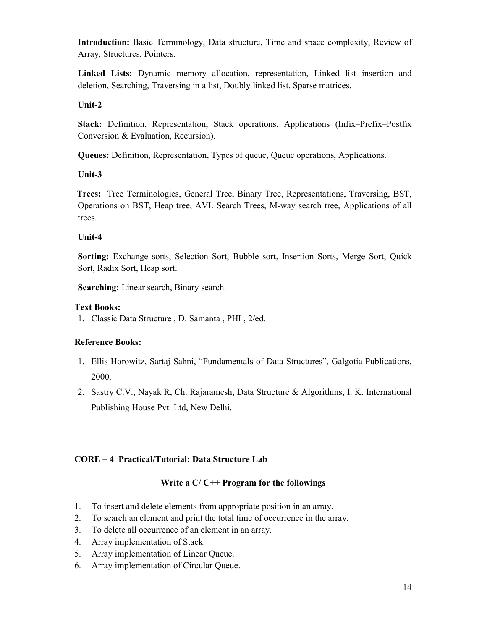**Introduction:** Basic Terminology, Data structure, Time and space complexity, Review of Array, Structures, Pointers.

**Linked Lists:** Dynamic memory allocation, representation, Linked list insertion and deletion, Searching, Traversing in a list, Doubly linked list, Sparse matrices.

# **Unit-2**

**Stack:** Definition, Representation, Stack operations, Applications (Infix–Prefix–Postfix Conversion & Evaluation, Recursion).

**Queues:** Definition, Representation, Types of queue, Queue operations, Applications.

# **Unit-3**

 **Trees:** Tree Terminologies, General Tree, Binary Tree, Representations, Traversing, BST, Operations on BST, Heap tree, AVL Search Trees, M-way search tree, Applications of all trees.

# **Unit-4**

**Sorting:** Exchange sorts, Selection Sort, Bubble sort, Insertion Sorts, Merge Sort, Quick Sort, Radix Sort, Heap sort.

**Searching:** Linear search, Binary search.

# **Text Books:**

1. Classic Data Structure , D. Samanta , PHI , 2/ed.

# **Reference Books:**

- 1. Ellis Horowitz, Sartaj Sahni, "Fundamentals of Data Structures", Galgotia Publications, 2000.
- 2. Sastry C.V., Nayak R, Ch. Rajaramesh, Data Structure & Algorithms, I. K. International Publishing House Pvt. Ltd, New Delhi.

# **CORE – 4 Practical/Tutorial: Data Structure Lab**

# **Write a C/ C++ Program for the followings**

- 1. To insert and delete elements from appropriate position in an array.
- 2. To search an element and print the total time of occurrence in the array.
- 3. To delete all occurrence of an element in an array.
- 4. Array implementation of Stack.
- 5. Array implementation of Linear Queue.
- 6. Array implementation of Circular Queue.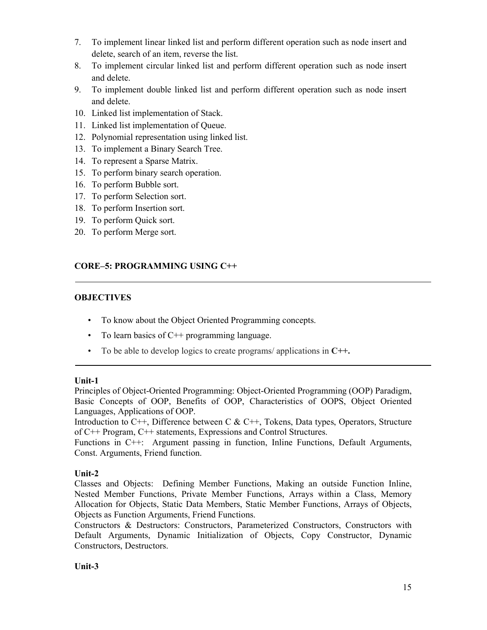- 7. To implement linear linked list and perform different operation such as node insert and delete, search of an item, reverse the list.
- 8. To implement circular linked list and perform different operation such as node insert and delete.
- 9. To implement double linked list and perform different operation such as node insert and delete.
- 10. Linked list implementation of Stack.
- 11. Linked list implementation of Queue.
- 12. Polynomial representation using linked list.
- 13. To implement a Binary Search Tree.
- 14. To represent a Sparse Matrix.
- 15. To perform binary search operation.
- 16. To perform Bubble sort.
- 17. To perform Selection sort.
- 18. To perform Insertion sort.
- 19. To perform Quick sort.
- 20. To perform Merge sort.

# **CORE–5: PROGRAMMING USING C++**

# **OBJECTIVES**

- To know about the Object Oriented Programming concepts.
- To learn basics of C++ programming language.
- To be able to develop logics to create programs/ applications in **C++.**

# **Unit-1**

Principles of Object-Oriented Programming: Object-Oriented Programming (OOP) Paradigm, Basic Concepts of OOP, Benefits of OOP, Characteristics of OOPS, Object Oriented Languages, Applications of OOP.

Introduction to  $C_{++}$ , Difference between C &  $C_{++}$ , Tokens, Data types, Operators, Structure of C++ Program, C++ statements, Expressions and Control Structures.

Functions in C++: Argument passing in function, Inline Functions, Default Arguments, Const. Arguments, Friend function.

# **Unit-2**

Classes and Objects: Defining Member Functions, Making an outside Function Inline, Nested Member Functions, Private Member Functions, Arrays within a Class, Memory Allocation for Objects, Static Data Members, Static Member Functions, Arrays of Objects, Objects as Function Arguments, Friend Functions.

Constructors & Destructors: Constructors, Parameterized Constructors, Constructors with Default Arguments, Dynamic Initialization of Objects, Copy Constructor, Dynamic Constructors, Destructors.

# **Unit-3**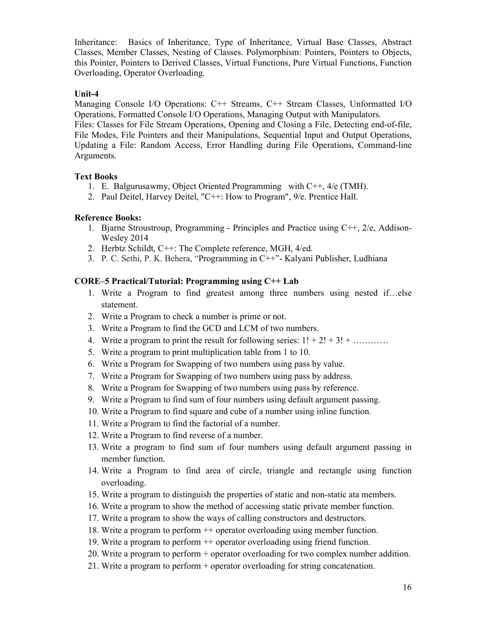Inheritance: Basics of Inheritance, Type of Inheritance, Virtual Base Classes, Abstract Classes, Member Classes, Nesting of Classes. Polymorphism: Pointers, Pointers to Objects, this Pointer, Pointers to Derived Classes, Virtual Functions, Pure Virtual Functions, Function Overloading, Operator Overloading.

#### **Unit-4**

Managing Console I/O Operations: C++ Streams, C++ Stream Classes, Unformatted I/O Operations, Formatted Console I/O Operations, Managing Output with Manipulators.

Files: Classes for File Stream Operations, Opening and Closing a File, Detecting end-of-file, File Modes, File Pointers and their Manipulations, Sequential Input and Output Operations, Updating a File: Random Access, Error Handling during File Operations, Command-line Arguments.

#### **Text Books**

- 1. E. Balgurusawmy, Object Oriented Programming with C++, 4/e (TMH).
- 2. Paul Deitel, Harvey Deitel, "C++: How to Program", 9/e. Prentice Hall.

#### **Reference Books:**

- 1. Bjarne Stroustroup, Programming Principles and Practice using C++, 2/e, Addison-Wesley 2014
- 2. Herbtz Schildt, C++: The Complete reference, MGH, 4/ed.
- 3. P. C. Sethi, P. K. Behera, "Programming in C++"- Kalyani Publisher, Ludhiana

#### **CORE–5 Practical/Tutorial: Programming using C++ Lab**

- 1. Write a Program to find greatest among three numbers using nested if…else statement.
- 2. Write a Program to check a number is prime or not.
- 3. Write a Program to find the GCD and LCM of two numbers.
- 4. Write a program to print the result for following series:  $1! + 2! + 3! + \dots$
- 5. Write a program to print multiplication table from 1 to 10.
- 6. Write a Program for Swapping of two numbers using pass by value.
- 7. Write a Program for Swapping of two numbers using pass by address.
- 8. Write a Program for Swapping of two numbers using pass by reference.
- 9. Write a Program to find sum of four numbers using default argument passing.
- 10. Write a Program to find square and cube of a number using inline function.
- 11. Write a Program to find the factorial of a number.
- 12. Write a Program to find reverse of a number.
- 13. Write a program to find sum of four numbers using default argument passing in member function.
- 14. Write a Program to find area of circle, triangle and rectangle using function overloading.
- 15. Write a program to distinguish the properties of static and non-static ata members.
- 16. Write a program to show the method of accessing static private member function.
- 17. Write a program to show the ways of calling constructors and destructors.
- 18. Write a program to perform ++ operator overloading using member function.
- 19. Write a program to perform ++ operator overloading using friend function.
- 20. Write a program to perform + operator overloading for two complex number addition.
- 21. Write a program to perform + operator overloading for string concatenation.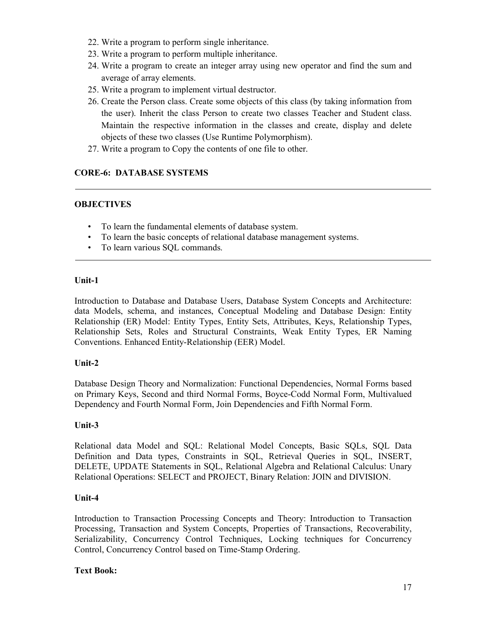- 22. Write a program to perform single inheritance.
- 23. Write a program to perform multiple inheritance.
- 24. Write a program to create an integer array using new operator and find the sum and average of array elements.
- 25. Write a program to implement virtual destructor.
- 26. Create the Person class. Create some objects of this class (by taking information from the user). Inherit the class Person to create two classes Teacher and Student class. Maintain the respective information in the classes and create, display and delete objects of these two classes (Use Runtime Polymorphism).
- 27. Write a program to Copy the contents of one file to other.

# **CORE-6: DATABASE SYSTEMS**

# **OBJECTIVES**

- To learn the fundamental elements of database system.
- To learn the basic concepts of relational database management systems.
- To learn various SQL commands.

#### **Unit-1**

Introduction to Database and Database Users, Database System Concepts and Architecture: data Models, schema, and instances, Conceptual Modeling and Database Design: Entity Relationship (ER) Model: Entity Types, Entity Sets, Attributes, Keys, Relationship Types, Relationship Sets, Roles and Structural Constraints, Weak Entity Types, ER Naming Conventions. Enhanced Entity-Relationship (EER) Model.

# **Unit-2**

Database Design Theory and Normalization: Functional Dependencies, Normal Forms based on Primary Keys, Second and third Normal Forms, Boyce-Codd Normal Form, Multivalued Dependency and Fourth Normal Form, Join Dependencies and Fifth Normal Form.

# **Unit-3**

Relational data Model and SQL: Relational Model Concepts, Basic SQLs, SQL Data Definition and Data types, Constraints in SQL, Retrieval Queries in SQL, INSERT, DELETE, UPDATE Statements in SQL, Relational Algebra and Relational Calculus: Unary Relational Operations: SELECT and PROJECT, Binary Relation: JOIN and DIVISION.

# **Unit-4**

Introduction to Transaction Processing Concepts and Theory: Introduction to Transaction Processing, Transaction and System Concepts, Properties of Transactions, Recoverability, Serializability, Concurrency Control Techniques, Locking techniques for Concurrency Control, Concurrency Control based on Time-Stamp Ordering.

# **Text Book:**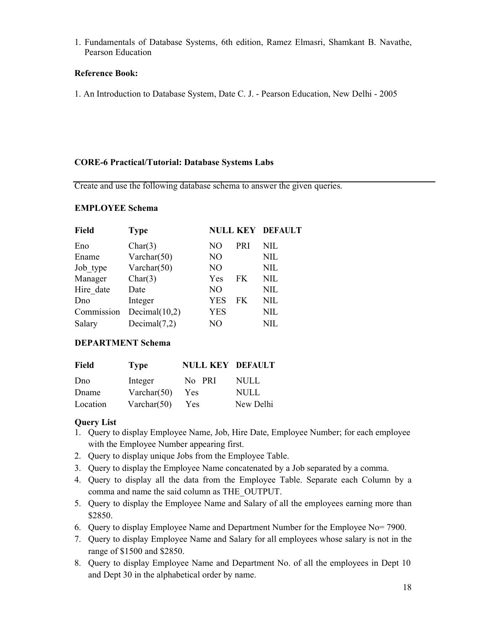1. Fundamentals of Database Systems, 6th edition, Ramez Elmasri, Shamkant B. Navathe, Pearson Education

# **Reference Book:**

1. An Introduction to Database System, Date C. J. - Pearson Education, New Delhi - 2005

#### **CORE-6 Practical/Tutorial: Database Systems Labs**

Create and use the following database schema to answer the given queries.

#### **EMPLOYEE Schema**

| <b>Field</b> | <b>Type</b>      |            |            | <b>NULL KEY DEFAULT</b> |
|--------------|------------------|------------|------------|-------------------------|
| Eno          | Char(3)          | NΟ         | <b>PRI</b> | <b>NIL</b>              |
| Ename        | Varchar $(50)$   | NO         |            | <b>NIL</b>              |
| Job type     | Varchar $(50)$   | NO         |            | <b>NIL</b>              |
| Manager      | Char(3)          | Yes        | FK         | NIL                     |
| Hire date    | Date             | NO         |            | <b>NIL</b>              |
| Dno          | Integer          | <b>YES</b> | FK         | NIL                     |
| Commission   | Decimal $(10,2)$ | <b>YES</b> |            | <b>NIL</b>              |
| Salary       | Decimal $(7,2)$  | NO         |            | NIL                     |

# **DEPARTMENT Schema**

| Field    | <b>Type</b>    | <b>NULL KEY DEFAULT</b> |           |
|----------|----------------|-------------------------|-----------|
| Dno      | Integer        | No PRI                  | NULL.     |
| Dname    | Varchar $(50)$ | Yes                     | NULL      |
| Location | Varchar $(50)$ | Yes                     | New Delhi |

# **Query List**

- 1. Query to display Employee Name, Job, Hire Date, Employee Number; for each employee with the Employee Number appearing first.
- 2. Query to display unique Jobs from the Employee Table.
- 3. Query to display the Employee Name concatenated by a Job separated by a comma.
- 4. Query to display all the data from the Employee Table. Separate each Column by a comma and name the said column as THE\_OUTPUT.
- 5. Query to display the Employee Name and Salary of all the employees earning more than \$2850.
- 6. Query to display Employee Name and Department Number for the Employee No= 7900.
- 7. Query to display Employee Name and Salary for all employees whose salary is not in the range of \$1500 and \$2850.
- 8. Query to display Employee Name and Department No. of all the employees in Dept 10 and Dept 30 in the alphabetical order by name.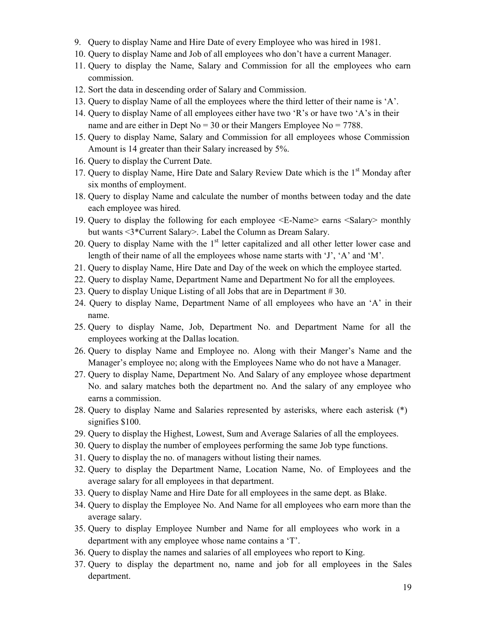- 9. Query to display Name and Hire Date of every Employee who was hired in 1981.
- 10. Query to display Name and Job of all employees who don't have a current Manager.
- 11. Query to display the Name, Salary and Commission for all the employees who earn commission.
- 12. Sort the data in descending order of Salary and Commission.
- 13. Query to display Name of all the employees where the third letter of their name is 'A'.
- 14. Query to display Name of all employees either have two 'R's or have two 'A's in their name and are either in Dept  $No = 30$  or their Mangers Employee  $No = 7788$ .
- 15. Query to display Name, Salary and Commission for all employees whose Commission Amount is 14 greater than their Salary increased by 5%.
- 16. Query to display the Current Date.
- 17. Query to display Name, Hire Date and Salary Review Date which is the 1<sup>st</sup> Mondav after six months of employment.
- 18. Query to display Name and calculate the number of months between today and the date each employee was hired.
- 19. Query to display the following for each employee <E-Name> earns <Salary> monthly but wants <3\*Current Salary>. Label the Column as Dream Salary.
- 20. Query to display Name with the  $1<sup>st</sup>$  letter capitalized and all other letter lower case and length of their name of all the employees whose name starts with 'J', 'A' and 'M'.
- 21. Query to display Name, Hire Date and Day of the week on which the employee started.
- 22. Query to display Name, Department Name and Department No for all the employees.
- 23. Query to display Unique Listing of all Jobs that are in Department # 30.
- 24. Query to display Name, Department Name of all employees who have an 'A' in their name.
- 25. Query to display Name, Job, Department No. and Department Name for all the employees working at the Dallas location.
- 26. Query to display Name and Employee no. Along with their Manger's Name and the Manager's employee no; along with the Employees Name who do not have a Manager.
- 27. Query to display Name, Department No. And Salary of any employee whose department No. and salary matches both the department no. And the salary of any employee who earns a commission.
- 28. Query to display Name and Salaries represented by asterisks, where each asterisk (\*) signifies \$100.
- 29. Query to display the Highest, Lowest, Sum and Average Salaries of all the employees.
- 30. Query to display the number of employees performing the same Job type functions.
- 31. Query to display the no. of managers without listing their names.
- 32. Query to display the Department Name, Location Name, No. of Employees and the average salary for all employees in that department.
- 33. Query to display Name and Hire Date for all employees in the same dept. as Blake.
- 34. Query to display the Employee No. And Name for all employees who earn more than the average salary.
- 35. Query to display Employee Number and Name for all employees who work in a department with any employee whose name contains a 'T'.
- 36. Query to display the names and salaries of all employees who report to King.
- 37. Query to display the department no, name and job for all employees in the Sales department.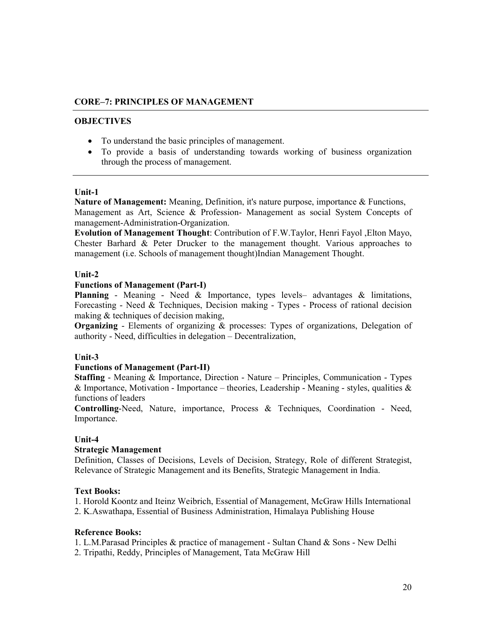#### **CORE–7: PRINCIPLES OF MANAGEMENT**

#### **OBJECTIVES**

- To understand the basic principles of management.
- To provide a basis of understanding towards working of business organization through the process of management.

#### **Unit-1**

**Nature of Management:** Meaning, Definition, it's nature purpose, importance & Functions, Management as Art, Science & Profession- Management as social System Concepts of management-Administration-Organization.

**Evolution of Management Thought**: Contribution of F.W.Taylor, Henri Fayol ,Elton Mayo, Chester Barhard & Peter Drucker to the management thought. Various approaches to management (i.e. Schools of management thought)Indian Management Thought.

#### **Unit-2**

#### **Functions of Management (Part-I)**

**Planning** - Meaning - Need & Importance, types levels– advantages & limitations, Forecasting - Need & Techniques, Decision making - Types - Process of rational decision making & techniques of decision making,

**Organizing** - Elements of organizing & processes: Types of organizations, Delegation of authority - Need, difficulties in delegation – Decentralization,

#### **Unit-3**

#### **Functions of Management (Part-II)**

**Staffing** - Meaning & Importance, Direction - Nature – Principles, Communication - Types & Importance, Motivation - Importance – theories, Leadership - Meaning - styles, qualities  $\&$ functions of leaders

**Controlling**-Need, Nature, importance, Process & Techniques, Coordination - Need, Importance.

#### **Unit-4**

#### **Strategic Management**

Definition, Classes of Decisions, Levels of Decision, Strategy, Role of different Strategist, Relevance of Strategic Management and its Benefits, Strategic Management in India.

#### **Text Books:**

1. Horold Koontz and Iteinz Weibrich, Essential of Management, McGraw Hills International

2. K.Aswathapa, Essential of Business Administration, Himalaya Publishing House

#### **Reference Books:**

1. L.M.Parasad Principles & practice of management - Sultan Chand & Sons - New Delhi

2. Tripathi, Reddy, Principles of Management, Tata McGraw Hill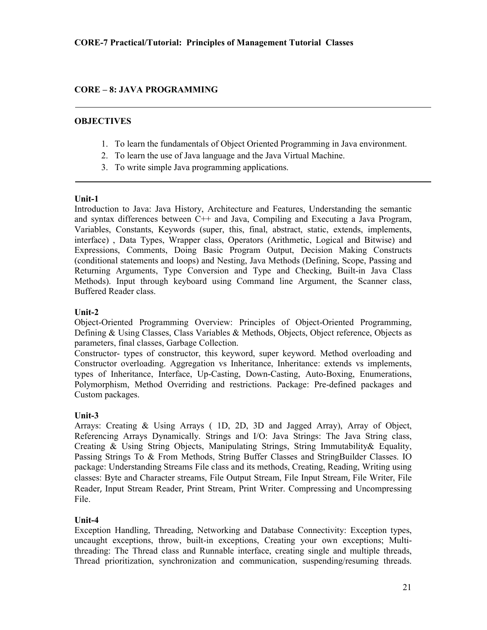# **CORE – 8: JAVA PROGRAMMING**

#### **OBJECTIVES**

- 1. To learn the fundamentals of Object Oriented Programming in Java environment.
- 2. To learn the use of Java language and the Java Virtual Machine.
- 3. To write simple Java programming applications.

#### **Unit-1**

Introduction to Java: Java History, Architecture and Features, Understanding the semantic and syntax differences between C++ and Java, Compiling and Executing a Java Program, Variables, Constants, Keywords (super, this, final, abstract, static, extends, implements, interface) , Data Types, Wrapper class, Operators (Arithmetic, Logical and Bitwise) and Expressions, Comments, Doing Basic Program Output, Decision Making Constructs (conditional statements and loops) and Nesting, Java Methods (Defining, Scope, Passing and Returning Arguments, Type Conversion and Type and Checking, Built-in Java Class Methods). Input through keyboard using Command line Argument, the Scanner class, Buffered Reader class.

#### **Unit-2**

Object-Oriented Programming Overview: Principles of Object-Oriented Programming, Defining & Using Classes, Class Variables & Methods, Objects, Object reference, Objects as parameters, final classes, Garbage Collection.

Constructor- types of constructor, this keyword, super keyword. Method overloading and Constructor overloading. Aggregation vs Inheritance, Inheritance: extends vs implements, types of Inheritance, Interface, Up-Casting, Down-Casting, Auto-Boxing, Enumerations, Polymorphism, Method Overriding and restrictions. Package: Pre-defined packages and Custom packages.

#### **Unit-3**

Arrays: Creating & Using Arrays ( 1D, 2D, 3D and Jagged Array), Array of Object, Referencing Arrays Dynamically. Strings and I/O: Java Strings: The Java String class, Creating & Using String Objects, Manipulating Strings, String Immutability& Equality, Passing Strings To & From Methods, String Buffer Classes and StringBuilder Classes. IO package: Understanding Streams File class and its methods, Creating, Reading, Writing using classes: Byte and Character streams, File Output Stream, File Input Stream, File Writer, File Reader, Input Stream Reader, Print Stream, Print Writer. Compressing and Uncompressing File.

#### **Unit-4**

Exception Handling, Threading, Networking and Database Connectivity: Exception types, uncaught exceptions, throw, built-in exceptions, Creating your own exceptions; Multithreading: The Thread class and Runnable interface, creating single and multiple threads, Thread prioritization, synchronization and communication, suspending/resuming threads.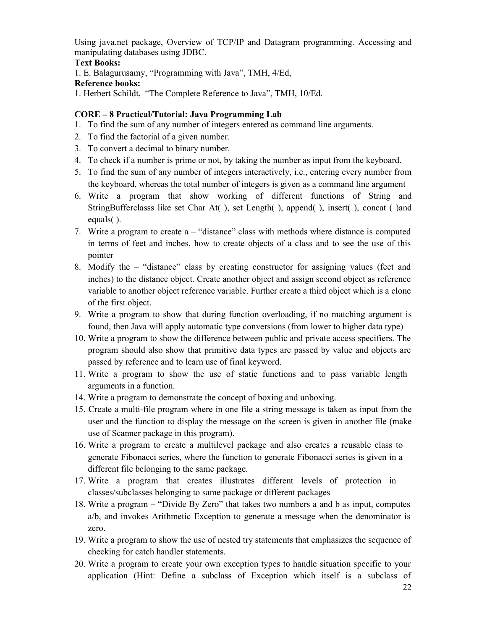Using java.net package, Overview of TCP/IP and Datagram programming. Accessing and manipulating databases using JDBC.

# **Text Books:**

1. E. Balagurusamy, "Programming with Java", TMH, 4/Ed,

# **Reference books:**

1. Herbert Schildt, "The Complete Reference to Java", TMH, 10/Ed.

# **CORE – 8 Practical/Tutorial: Java Programming Lab**

- 1. To find the sum of any number of integers entered as command line arguments.
- 2. To find the factorial of a given number.
- 3. To convert a decimal to binary number.
- 4. To check if a number is prime or not, by taking the number as input from the keyboard.
- 5. To find the sum of any number of integers interactively, i.e., entering every number from the keyboard, whereas the total number of integers is given as a command line argument
- 6. Write a program that show working of different functions of String and StringBufferclasss like set Char At( ), set Length( ), append( ), insert( ), concat ( )and equals( ).
- 7. Write a program to create a "distance" class with methods where distance is computed in terms of feet and inches, how to create objects of a class and to see the use of this pointer
- 8. Modify the "distance" class by creating constructor for assigning values (feet and inches) to the distance object. Create another object and assign second object as reference variable to another object reference variable. Further create a third object which is a clone of the first object.
- 9. Write a program to show that during function overloading, if no matching argument is found, then Java will apply automatic type conversions (from lower to higher data type)
- 10. Write a program to show the difference between public and private access specifiers. The program should also show that primitive data types are passed by value and objects are passed by reference and to learn use of final keyword.
- 11. Write a program to show the use of static functions and to pass variable length arguments in a function.
- 14. Write a program to demonstrate the concept of boxing and unboxing.
- 15. Create a multi-file program where in one file a string message is taken as input from the user and the function to display the message on the screen is given in another file (make use of Scanner package in this program).
- 16. Write a program to create a multilevel package and also creates a reusable class to generate Fibonacci series, where the function to generate Fibonacci series is given in a different file belonging to the same package.
- 17. Write a program that creates illustrates different levels of protection in classes/subclasses belonging to same package or different packages
- 18. Write a program "Divide By Zero" that takes two numbers a and b as input, computes a/b, and invokes Arithmetic Exception to generate a message when the denominator is zero.
- 19. Write a program to show the use of nested try statements that emphasizes the sequence of checking for catch handler statements.
- 20. Write a program to create your own exception types to handle situation specific to your application (Hint: Define a subclass of Exception which itself is a subclass of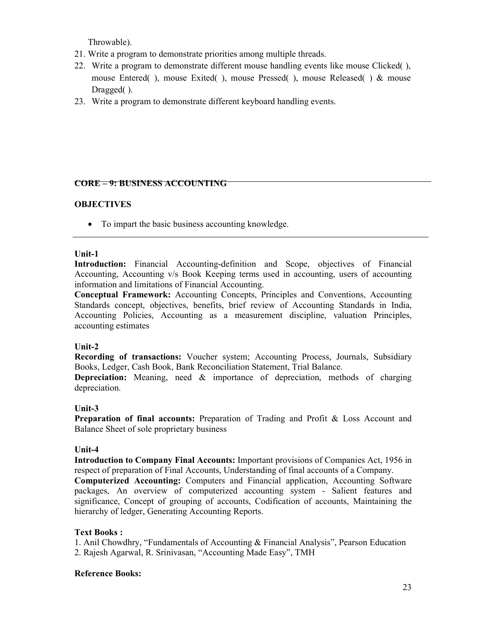Throwable).

- 21. Write a program to demonstrate priorities among multiple threads.
- 22. Write a program to demonstrate different mouse handling events like mouse Clicked( ), mouse Entered( ), mouse Exited( ), mouse Pressed( ), mouse Released( ) & mouse Dragged( ).
- 23. Write a program to demonstrate different keyboard handling events.

# **CORE – 9: BUSINESS ACCOUNTING**

# **OBJECTIVES**

• To impart the basic business accounting knowledge.

#### **Unit-1**

**Introduction:** Financial Accounting-definition and Scope, objectives of Financial Accounting, Accounting v/s Book Keeping terms used in accounting, users of accounting information and limitations of Financial Accounting.

**Conceptual Framework:** Accounting Concepts, Principles and Conventions, Accounting Standards concept, objectives, benefits, brief review of Accounting Standards in India, Accounting Policies, Accounting as a measurement discipline, valuation Principles, accounting estimates

#### **Unit-2**

**Recording of transactions:** Voucher system; Accounting Process, Journals, Subsidiary Books, Ledger, Cash Book, Bank Reconciliation Statement, Trial Balance.

**Depreciation:** Meaning, need & importance of depreciation, methods of charging depreciation.

#### **Unit-3**

**Preparation of final accounts:** Preparation of Trading and Profit & Loss Account and Balance Sheet of sole proprietary business

#### **Unit-4**

**Introduction to Company Final Accounts:** Important provisions of Companies Act, 1956 in respect of preparation of Final Accounts, Understanding of final accounts of a Company.

**Computerized Accounting:** Computers and Financial application, Accounting Software packages, An overview of computerized accounting system - Salient features and significance, Concept of grouping of accounts, Codification of accounts, Maintaining the hierarchy of ledger, Generating Accounting Reports.

# **Text Books :**

1. Anil Chowdhry, "Fundamentals of Accounting & Financial Analysis", Pearson Education 2. Rajesh Agarwal, R. Srinivasan, "Accounting Made Easy", TMH

#### **Reference Books:**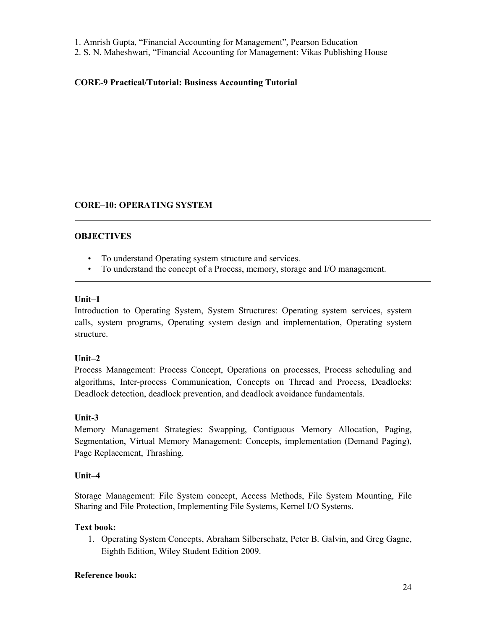- 1. Amrish Gupta, "Financial Accounting for Management", Pearson Education
- 2. S. N. Maheshwari, "Financial Accounting for Management: Vikas Publishing House

#### **CORE-9 Practical/Tutorial: Business Accounting Tutorial**

#### **CORE–10: OPERATING SYSTEM**

#### **OBJECTIVES**

- To understand Operating system structure and services.
- To understand the concept of a Process, memory, storage and I/O management.

#### **Unit–1**

Introduction to Operating System, System Structures: Operating system services, system calls, system programs, Operating system design and implementation, Operating system structure.

# **Unit–2**

Process Management: Process Concept, Operations on processes, Process scheduling and algorithms, Inter-process Communication, Concepts on Thread and Process, Deadlocks: Deadlock detection, deadlock prevention, and deadlock avoidance fundamentals.

# **Unit-3**

Memory Management Strategies: Swapping, Contiguous Memory Allocation, Paging, Segmentation, Virtual Memory Management: Concepts, implementation (Demand Paging), Page Replacement, Thrashing.

#### **Unit–4**

Storage Management: File System concept, Access Methods, File System Mounting, File Sharing and File Protection, Implementing File Systems, Kernel I/O Systems.

# **Text book:**

1. Operating System Concepts, Abraham Silberschatz, Peter B. Galvin, and Greg Gagne, Eighth Edition, Wiley Student Edition 2009.

#### **Reference book:**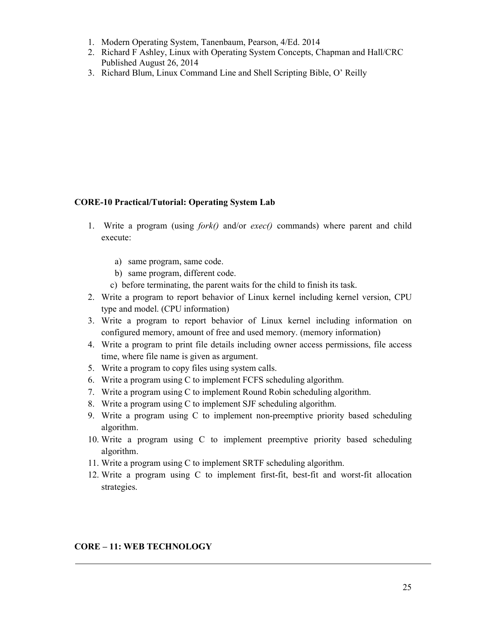- 1. Modern Operating System, Tanenbaum, Pearson, 4/Ed. 2014
- 2. Richard F Ashley, Linux with Operating System Concepts, Chapman and Hall/CRC Published August 26, 2014
- 3. Richard Blum, Linux Command Line and Shell Scripting Bible, O' Reilly

# **CORE-10 Practical/Tutorial: Operating System Lab**

- 1. Write a program (using *fork()* and/or *exec()* commands) where parent and child execute:
	- a) same program, same code.
	- b) same program, different code.
	- c) before terminating, the parent waits for the child to finish its task.
- 2. Write a program to report behavior of Linux kernel including kernel version, CPU type and model. (CPU information)
- 3. Write a program to report behavior of Linux kernel including information on configured memory, amount of free and used memory. (memory information)
- 4. Write a program to print file details including owner access permissions, file access time, where file name is given as argument.
- 5. Write a program to copy files using system calls.
- 6. Write a program using C to implement FCFS scheduling algorithm.
- 7. Write a program using C to implement Round Robin scheduling algorithm.
- 8. Write a program using C to implement SJF scheduling algorithm.
- 9. Write a program using C to implement non-preemptive priority based scheduling algorithm.
- 10. Write a program using C to implement preemptive priority based scheduling algorithm.
- 11. Write a program using C to implement SRTF scheduling algorithm.
- 12. Write a program using C to implement first-fit, best-fit and worst-fit allocation strategies.

#### **CORE – 11: WEB TECHNOLOGY**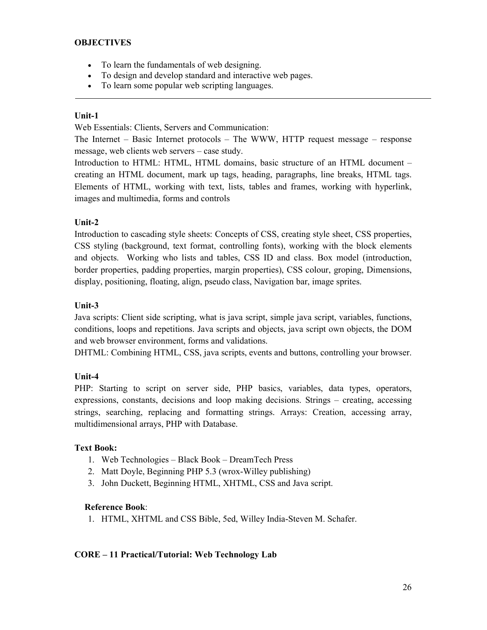#### **OBJECTIVES**

- To learn the fundamentals of web designing.
- To design and develop standard and interactive web pages.
- To learn some popular web scripting languages.

#### **Unit-1**

Web Essentials: Clients, Servers and Communication:

The Internet – Basic Internet protocols – The WWW, HTTP request message – response message, web clients web servers – case study.

Introduction to HTML: HTML, HTML domains, basic structure of an HTML document – creating an HTML document, mark up tags, heading, paragraphs, line breaks, HTML tags. Elements of HTML, working with text, lists, tables and frames, working with hyperlink, images and multimedia, forms and controls

# **Unit-2**

Introduction to cascading style sheets: Concepts of CSS, creating style sheet, CSS properties, CSS styling (background, text format, controlling fonts), working with the block elements and objects. Working who lists and tables, CSS ID and class. Box model (introduction, border properties, padding properties, margin properties), CSS colour, groping, Dimensions, display, positioning, floating, align, pseudo class, Navigation bar, image sprites.

#### **Unit-3**

Java scripts: Client side scripting, what is java script, simple java script, variables, functions, conditions, loops and repetitions. Java scripts and objects, java script own objects, the DOM and web browser environment, forms and validations.

DHTML: Combining HTML, CSS, java scripts, events and buttons, controlling your browser.

# **Unit-4**

PHP: Starting to script on server side, PHP basics, variables, data types, operators, expressions, constants, decisions and loop making decisions. Strings – creating, accessing strings, searching, replacing and formatting strings. Arrays: Creation, accessing array, multidimensional arrays, PHP with Database.

#### **Text Book:**

- 1. Web Technologies Black Book DreamTech Press
- 2. Matt Doyle, Beginning PHP 5.3 (wrox-Willey publishing)
- 3. John Duckett, Beginning HTML, XHTML, CSS and Java script.

#### **Reference Book**:

1. HTML, XHTML and CSS Bible, 5ed, Willey India-Steven M. Schafer.

#### **CORE – 11 Practical/Tutorial: Web Technology Lab**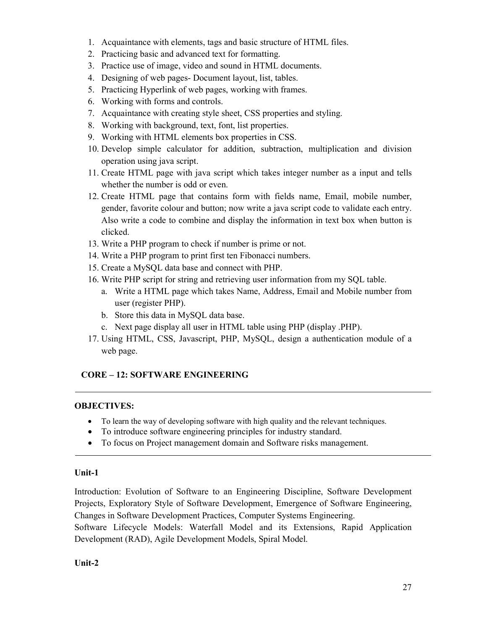- 1. Acquaintance with elements, tags and basic structure of HTML files.
- 2. Practicing basic and advanced text for formatting.
- 3. Practice use of image, video and sound in HTML documents.
- 4. Designing of web pages- Document layout, list, tables.
- 5. Practicing Hyperlink of web pages, working with frames.
- 6. Working with forms and controls.
- 7. Acquaintance with creating style sheet, CSS properties and styling.
- 8. Working with background, text, font, list properties.
- 9. Working with HTML elements box properties in CSS.
- 10. Develop simple calculator for addition, subtraction, multiplication and division operation using java script.
- 11. Create HTML page with java script which takes integer number as a input and tells whether the number is odd or even.
- 12. Create HTML page that contains form with fields name, Email, mobile number, gender, favorite colour and button; now write a java script code to validate each entry. Also write a code to combine and display the information in text box when button is clicked.
- 13. Write a PHP program to check if number is prime or not.
- 14. Write a PHP program to print first ten Fibonacci numbers.
- 15. Create a MySQL data base and connect with PHP.
- 16. Write PHP script for string and retrieving user information from my SQL table.
	- a. Write a HTML page which takes Name, Address, Email and Mobile number from user (register PHP).
	- b. Store this data in MySQL data base.
	- c. Next page display all user in HTML table using PHP (display .PHP).
- 17. Using HTML, CSS, Javascript, PHP, MySQL, design a authentication module of a web page.

# **CORE – 12: SOFTWARE ENGINEERING**

# **OBJECTIVES:**

- To learn the way of developing software with high quality and the relevant techniques.
- To introduce software engineering principles for industry standard.
- To focus on Project management domain and Software risks management.

# **Unit-1**

Introduction: Evolution of Software to an Engineering Discipline, Software Development Projects, Exploratory Style of Software Development, Emergence of Software Engineering, Changes in Software Development Practices, Computer Systems Engineering.

Software Lifecycle Models: Waterfall Model and its Extensions, Rapid Application Development (RAD), Agile Development Models, Spiral Model.

# **Unit-2**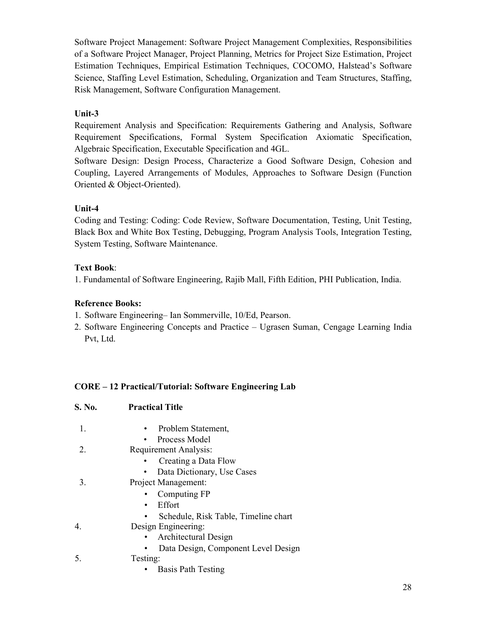Software Project Management: Software Project Management Complexities, Responsibilities of a Software Project Manager, Project Planning, Metrics for Project Size Estimation, Project Estimation Techniques, Empirical Estimation Techniques, COCOMO, Halstead's Software Science, Staffing Level Estimation, Scheduling, Organization and Team Structures, Staffing, Risk Management, Software Configuration Management.

# **Unit-3**

Requirement Analysis and Specification: Requirements Gathering and Analysis, Software Requirement Specifications, Formal System Specification Axiomatic Specification, Algebraic Specification, Executable Specification and 4GL.

Software Design: Design Process, Characterize a Good Software Design, Cohesion and Coupling, Layered Arrangements of Modules, Approaches to Software Design (Function Oriented & Object-Oriented).

# **Unit-4**

Coding and Testing: Coding: Code Review, Software Documentation, Testing, Unit Testing, Black Box and White Box Testing, Debugging, Program Analysis Tools, Integration Testing, System Testing, Software Maintenance.

# **Text Book**:

1. Fundamental of Software Engineering, Rajib Mall, Fifth Edition, PHI Publication, India.

# **Reference Books:**

- 1. Software Engineering– Ian Sommerville, 10/Ed, Pearson.
- 2. Software Engineering Concepts and Practice Ugrasen Suman, Cengage Learning India Pvt, Ltd.

# **CORE – 12 Practical/Tutorial: Software Engineering Lab**

| S. No. | <b>Practical Title</b>               |  |
|--------|--------------------------------------|--|
| 1.     | Problem Statement,<br>$\bullet$      |  |
|        | Process Model                        |  |
| 2      | Requirement Analysis:                |  |
|        | Creating a Data Flow                 |  |
|        | Data Dictionary, Use Cases           |  |
| 3.     | Project Management:                  |  |
|        | Computing FP                         |  |
|        | Effort<br>$\bullet$                  |  |
|        | Schedule, Risk Table, Timeline chart |  |
| 4.     | Design Engineering:                  |  |
|        | Architectural Design                 |  |
|        | Data Design, Component Level Design  |  |
| 5.     | Testing:                             |  |
|        | <b>Basis Path Testing</b>            |  |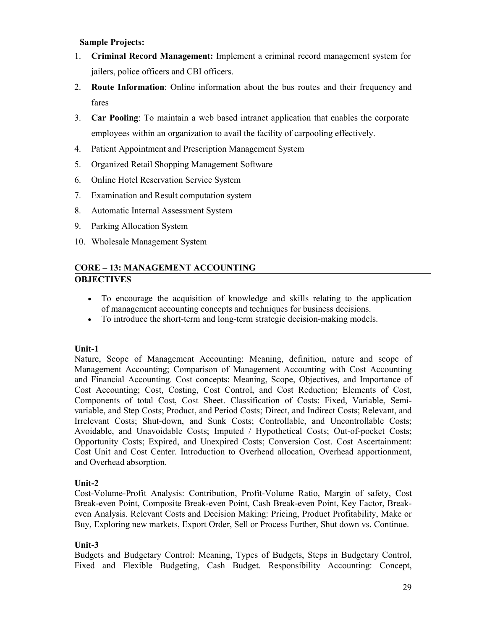#### **Sample Projects:**

- 1. **Criminal Record Management:** Implement a criminal record management system for jailers, police officers and CBI officers.
- 2. **Route Information**: Online information about the bus routes and their frequency and fares
- 3. **Car Pooling**: To maintain a web based intranet application that enables the corporate employees within an organization to avail the facility of carpooling effectively.
- 4. Patient Appointment and Prescription Management System
- 5. Organized Retail Shopping Management Software
- 6. Online Hotel Reservation Service System
- 7. Examination and Result computation system
- 8. Automatic Internal Assessment System
- 9. Parking Allocation System
- 10. Wholesale Management System

# **CORE – 13: MANAGEMENT ACCOUNTING OBJECTIVES**

- To encourage the acquisition of knowledge and skills relating to the application of management accounting concepts and techniques for business decisions.
- To introduce the short-term and long-term strategic decision-making models.

# **Unit-1**

Nature, Scope of Management Accounting: Meaning, definition, nature and scope of Management Accounting; Comparison of Management Accounting with Cost Accounting and Financial Accounting. Cost concepts: Meaning, Scope, Objectives, and Importance of Cost Accounting; Cost, Costing, Cost Control, and Cost Reduction; Elements of Cost, Components of total Cost, Cost Sheet. Classification of Costs: Fixed, Variable, Semivariable, and Step Costs; Product, and Period Costs; Direct, and Indirect Costs; Relevant, and Irrelevant Costs; Shut-down, and Sunk Costs; Controllable, and Uncontrollable Costs; Avoidable, and Unavoidable Costs; Imputed / Hypothetical Costs; Out-of-pocket Costs; Opportunity Costs; Expired, and Unexpired Costs; Conversion Cost. Cost Ascertainment: Cost Unit and Cost Center. Introduction to Overhead allocation, Overhead apportionment, and Overhead absorption.

# **Unit-2**

Cost-Volume-Profit Analysis: Contribution, Profit-Volume Ratio, Margin of safety, Cost Break-even Point, Composite Break-even Point, Cash Break-even Point, Key Factor, Breakeven Analysis. Relevant Costs and Decision Making: Pricing, Product Profitability, Make or Buy, Exploring new markets, Export Order, Sell or Process Further, Shut down vs. Continue.

# **Unit-3**

Budgets and Budgetary Control: Meaning, Types of Budgets, Steps in Budgetary Control, Fixed and Flexible Budgeting, Cash Budget. Responsibility Accounting: Concept,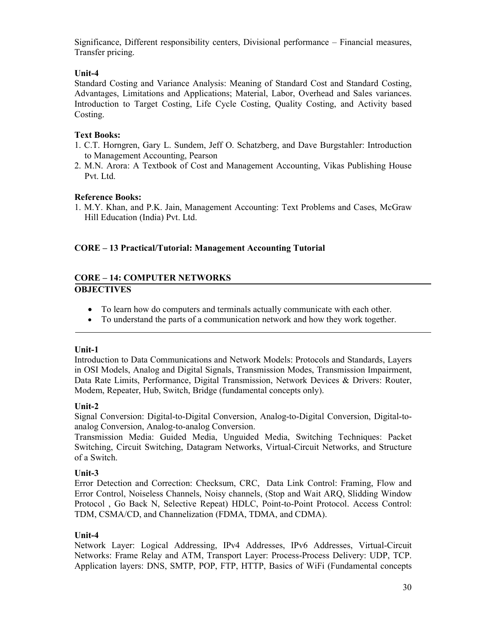Significance, Different responsibility centers, Divisional performance – Financial measures, Transfer pricing.

# **Unit-4**

Standard Costing and Variance Analysis: Meaning of Standard Cost and Standard Costing, Advantages, Limitations and Applications; Material, Labor, Overhead and Sales variances. Introduction to Target Costing, Life Cycle Costing, Quality Costing, and Activity based Costing.

# **Text Books:**

- 1. C.T. Horngren, Gary L. Sundem, Jeff O. Schatzberg, and Dave Burgstahler: Introduction to Management Accounting, Pearson
- 2. M.N. Arora: A Textbook of Cost and Management Accounting, Vikas Publishing House Pvt. Ltd.

# **Reference Books:**

1. M.Y. Khan, and P.K. Jain, Management Accounting: Text Problems and Cases, McGraw Hill Education (India) Pvt. Ltd.

# **CORE – 13 Practical/Tutorial: Management Accounting Tutorial**

# **CORE – 14: COMPUTER NETWORKS OBJECTIVES**

- To learn how do computers and terminals actually communicate with each other.
- To understand the parts of a communication network and how they work together.

#### **Unit-1**

Introduction to Data Communications and Network Models: Protocols and Standards, Layers in OSI Models, Analog and Digital Signals, Transmission Modes, Transmission Impairment, Data Rate Limits, Performance, Digital Transmission, Network Devices & Drivers: Router, Modem, Repeater, Hub, Switch, Bridge (fundamental concepts only).

# **Unit-2**

Signal Conversion: Digital-to-Digital Conversion, Analog-to-Digital Conversion, Digital-toanalog Conversion, Analog-to-analog Conversion.

Transmission Media: Guided Media, Unguided Media, Switching Techniques: Packet Switching, Circuit Switching, Datagram Networks, Virtual-Circuit Networks, and Structure of a Switch.

# **Unit-3**

Error Detection and Correction: Checksum, CRC, Data Link Control: Framing, Flow and Error Control, Noiseless Channels, Noisy channels, (Stop and Wait ARQ, Slidding Window Protocol , Go Back N, Selective Repeat) HDLC, Point-to-Point Protocol. Access Control: TDM, CSMA/CD, and Channelization (FDMA, TDMA, and CDMA).

# **Unit-4**

Network Layer: Logical Addressing, IPv4 Addresses, IPv6 Addresses, Virtual-Circuit Networks: Frame Relay and ATM, Transport Layer: Process-Process Delivery: UDP, TCP. Application layers: DNS, SMTP, POP, FTP, HTTP, Basics of WiFi (Fundamental concepts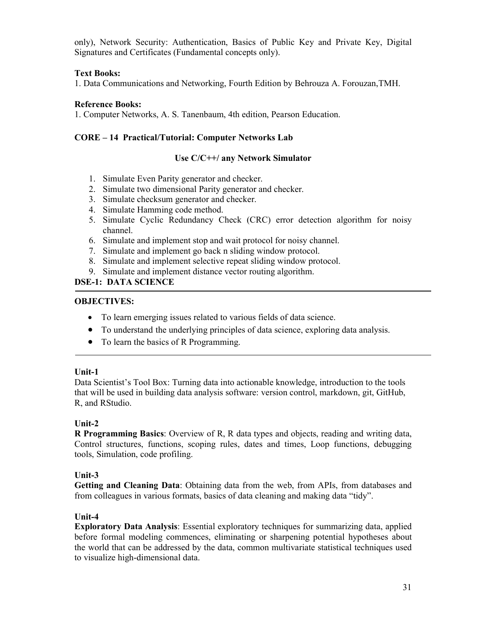only), Network Security: Authentication, Basics of Public Key and Private Key, Digital Signatures and Certificates (Fundamental concepts only).

# **Text Books:**

1. Data Communications and Networking, Fourth Edition by Behrouza A. Forouzan,TMH.

#### **Reference Books:**

1. Computer Networks, A. S. Tanenbaum, 4th edition, Pearson Education.

# **CORE – 14 Practical/Tutorial: Computer Networks Lab**

#### **Use C/C++/ any Network Simulator**

- 1. Simulate Even Parity generator and checker.
- 2. Simulate two dimensional Parity generator and checker.
- 3. Simulate checksum generator and checker.
- 4. Simulate Hamming code method.
- 5. Simulate Cyclic Redundancy Check (CRC) error detection algorithm for noisy channel.
- 6. Simulate and implement stop and wait protocol for noisy channel.
- 7. Simulate and implement go back n sliding window protocol.
- 8. Simulate and implement selective repeat sliding window protocol.
- 9. Simulate and implement distance vector routing algorithm.

# **DSE-1: DATA SCIENCE**

#### **OBJECTIVES:**

- To learn emerging issues related to various fields of data science.
- To understand the underlying principles of data science, exploring data analysis.
- To learn the basics of R Programming.

#### **Unit-1**

Data Scientist's Tool Box: Turning data into actionable knowledge, introduction to the tools that will be used in building data analysis software: version control, markdown, git, GitHub, R, and RStudio.

# **Unit-2**

**R Programming Basics**: Overview of R, R data types and objects, reading and writing data, Control structures, functions, scoping rules, dates and times, Loop functions, debugging tools, Simulation, code profiling.

# **Unit-3**

**Getting and Cleaning Data**: Obtaining data from the web, from APIs, from databases and from colleagues in various formats, basics of data cleaning and making data "tidy".

# **Unit-4**

**Exploratory Data Analysis**: Essential exploratory techniques for summarizing data, applied before formal modeling commences, eliminating or sharpening potential hypotheses about the world that can be addressed by the data, common multivariate statistical techniques used to visualize high-dimensional data.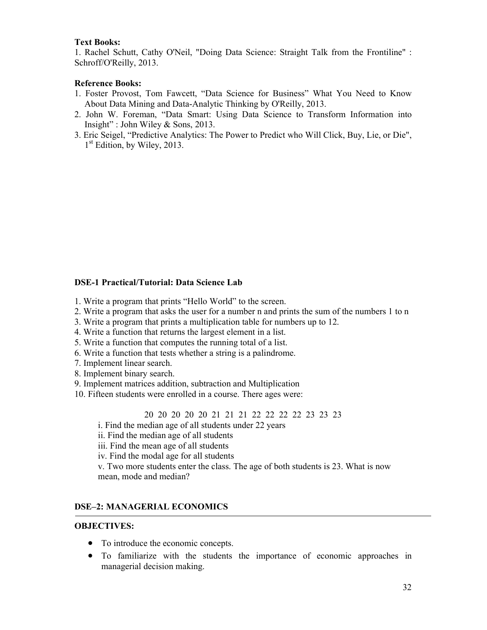#### **Text Books:**

1. Rachel Schutt, Cathy O'Neil, "Doing Data Science: Straight Talk from the Frontiline" : Schroff/O'Reilly, 2013.

#### **Reference Books:**

- 1. Foster Provost, Tom Fawcett, "Data Science for Business" What You Need to Know About Data Mining and Data-Analytic Thinking by O'Reilly, 2013.
- 2. John W. Foreman, "Data Smart: Using Data Science to Transform Information into Insight" : John Wiley & Sons, 2013.
- 3. Eric Seigel, "Predictive Analytics: The Power to Predict who Will Click, Buy, Lie, or Die", 1<sup>st</sup> Edition, by Wiley, 2013.

#### **DSE-1 Practical/Tutorial: Data Science Lab**

- 1. Write a program that prints "Hello World" to the screen.
- 2. Write a program that asks the user for a number n and prints the sum of the numbers 1 to n
- 3. Write a program that prints a multiplication table for numbers up to 12.
- 4. Write a function that returns the largest element in a list.
- 5. Write a function that computes the running total of a list.
- 6. Write a function that tests whether a string is a palindrome.
- 7. Implement linear search.
- 8. Implement binary search.
- 9. Implement matrices addition, subtraction and Multiplication
- 10. Fifteen students were enrolled in a course. There ages were:

20 20 20 20 20 21 21 21 22 22 22 22 23 23 23

i. Find the median age of all students under 22 years

- ii. Find the median age of all students
- iii. Find the mean age of all students
- iv. Find the modal age for all students

v. Two more students enter the class. The age of both students is 23. What is now mean, mode and median?

#### **DSE–2: MANAGERIAL ECONOMICS**

#### **OBJECTIVES:**

- To introduce the economic concepts.
- To familiarize with the students the importance of economic approaches in managerial decision making.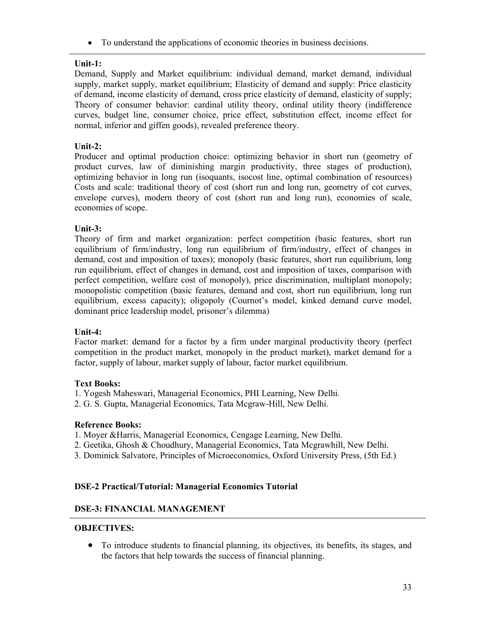• To understand the applications of economic theories in business decisions.

# **Unit-1:**

Demand, Supply and Market equilibrium: individual demand, market demand, individual supply, market supply, market equilibrium; Elasticity of demand and supply: Price elasticity of demand, income elasticity of demand, cross price elasticity of demand, elasticity of supply; Theory of consumer behavior: cardinal utility theory, ordinal utility theory (indifference curves, budget line, consumer choice, price effect, substitution effect, income effect for normal, inferior and giffen goods), revealed preference theory.

# **Unit-2:**

Producer and optimal production choice: optimizing behavior in short run (geometry of product curves, law of diminishing margin productivity, three stages of production), optimizing behavior in long run (isoquants, isocost line, optimal combination of resources) Costs and scale: traditional theory of cost (short run and long run, geometry of cot curves, envelope curves), modern theory of cost (short run and long run), economies of scale, economies of scope.

# **Unit-3:**

Theory of firm and market organization: perfect competition (basic features, short run equilibrium of firm/industry, long run equilibrium of firm/industry, effect of changes in demand, cost and imposition of taxes); monopoly (basic features, short run equilibrium, long run equilibrium, effect of changes in demand, cost and imposition of taxes, comparison with perfect competition, welfare cost of monopoly), price discrimination, multiplant monopoly; monopolistic competition (basic features, demand and cost, short run equilibrium, long run equilibrium, excess capacity); oligopoly (Cournot's model, kinked demand curve model, dominant price leadership model, prisoner's dilemma)

# **Unit-4:**

Factor market: demand for a factor by a firm under marginal productivity theory (perfect competition in the product market, monopoly in the product market), market demand for a factor, supply of labour, market supply of labour, factor market equilibrium.

# **Text Books:**

- 1. Yogesh Maheswari, Managerial Economics, PHI Learning, New Delhi.
- 2. G. S. Gupta, Managerial Economics, Tata Mcgraw-Hill, New Delhi.

# **Reference Books:**

- 1. Moyer &Harris, Managerial Economics, Cengage Learning, New Delhi.
- 2. Geetika, Ghosh & Choudhury, Managerial Economics, Tata Mcgrawhill, New Delhi.
- 3. Dominick Salvatore, Principles of Microeconomics, Oxford University Press, (5th Ed.)

# **DSE-2 Practical/Tutorial: Managerial Economics Tutorial**

# **DSE-3: FINANCIAL MANAGEMENT**

# **OBJECTIVES:**

• To introduce students to financial planning, its objectives, its benefits, its stages, and the factors that help towards the success of financial planning.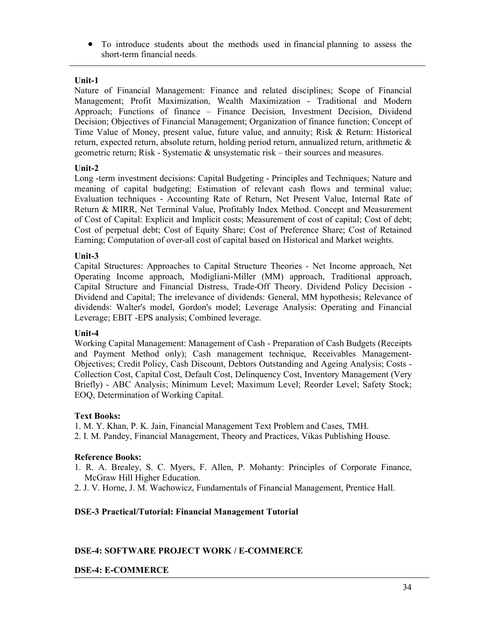• To introduce students about the methods used in financial planning to assess the short-term financial needs.

#### **Unit-1**

Nature of Financial Management: Finance and related disciplines; Scope of Financial Management; Profit Maximization, Wealth Maximization - Traditional and Modern Approach; Functions of finance – Finance Decision, Investment Decision, Dividend Decision; Objectives of Financial Management; Organization of finance function; Concept of Time Value of Money, present value, future value, and annuity; Risk & Return: Historical return, expected return, absolute return, holding period return, annualized return, arithmetic  $\&$ geometric return; Risk - Systematic & unsystematic risk – their sources and measures.

# **Unit-2**

Long -term investment decisions: Capital Budgeting - Principles and Techniques; Nature and meaning of capital budgeting; Estimation of relevant cash flows and terminal value; Evaluation techniques - Accounting Rate of Return, Net Present Value, Internal Rate of Return & MIRR, Net Terminal Value, Profitably Index Method. Concept and Measurement of Cost of Capital: Explicit and Implicit costs; Measurement of cost of capital; Cost of debt; Cost of perpetual debt; Cost of Equity Share; Cost of Preference Share; Cost of Retained Earning; Computation of over-all cost of capital based on Historical and Market weights.

#### **Unit-3**

Capital Structures: Approaches to Capital Structure Theories - Net Income approach, Net Operating Income approach, Modigliani-Miller (MM) approach, Traditional approach, Capital Structure and Financial Distress, Trade-Off Theory. Dividend Policy Decision - Dividend and Capital; The irrelevance of dividends: General, MM hypothesis; Relevance of dividends: Walter's model, Gordon's model; Leverage Analysis: Operating and Financial Leverage; EBIT -EPS analysis; Combined leverage.

#### **Unit-4**

Working Capital Management: Management of Cash - Preparation of Cash Budgets (Receipts and Payment Method only); Cash management technique, Receivables Management-Objectives; Credit Policy, Cash Discount, Debtors Outstanding and Ageing Analysis; Costs - Collection Cost, Capital Cost, Default Cost, Delinquency Cost, Inventory Management (Very Briefly) - ABC Analysis; Minimum Level; Maximum Level; Reorder Level; Safety Stock; EOQ, Determination of Working Capital.

# **Text Books:**

1. M. Y. Khan, P. K. Jain, Financial Management Text Problem and Cases, TMH.

2. I. M. Pandey, Financial Management, Theory and Practices, Vikas Publishing House.

# **Reference Books:**

- 1. R. A. Brealey, S. C. Myers, F. Allen, P. Mohanty: Principles of Corporate Finance, McGraw Hill Higher Education.
- 2. J. V. Horne, J. M. Wachowicz, Fundamentals of Financial Management, Prentice Hall.

# **DSE-3 Practical/Tutorial: Financial Management Tutorial**

# **DSE-4: SOFTWARE PROJECT WORK / E-COMMERCE**

#### **DSE-4: E-COMMERCE**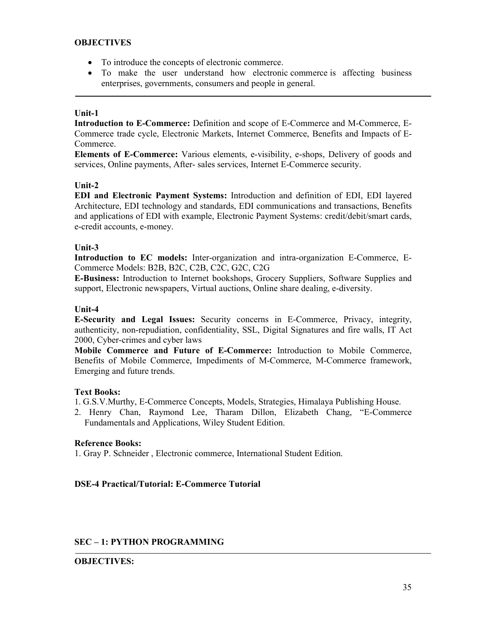#### **OBJECTIVES**

- To introduce the concepts of electronic commerce.
- To make the user understand how electronic commerce is affecting business enterprises, governments, consumers and people in general.

#### **Unit-1**

**Introduction to E-Commerce:** Definition and scope of E-Commerce and M-Commerce, E-Commerce trade cycle, Electronic Markets, Internet Commerce, Benefits and Impacts of E-Commerce.

**Elements of E-Commerce:** Various elements, e-visibility, e-shops, Delivery of goods and services, Online payments, After- sales services, Internet E-Commerce security.

#### **Unit-2**

**EDI and Electronic Payment Systems:** Introduction and definition of EDI, EDI layered Architecture, EDI technology and standards, EDI communications and transactions, Benefits and applications of EDI with example, Electronic Payment Systems: credit/debit/smart cards, e-credit accounts, e-money.

#### **Unit-3**

**Introduction to EC models:** Inter-organization and intra-organization E-Commerce, E-Commerce Models: B2B, B2C, C2B, C2C, G2C, C2G

**E-Business:** Introduction to Internet bookshops, Grocery Suppliers, Software Supplies and support, Electronic newspapers, Virtual auctions, Online share dealing, e-diversity.

#### **Unit-4**

**E-Security and Legal Issues:** Security concerns in E-Commerce, Privacy, integrity, authenticity, non-repudiation, confidentiality, SSL, Digital Signatures and fire walls, IT Act 2000, Cyber-crimes and cyber laws

**Mobile Commerce and Future of E-Commerce:** Introduction to Mobile Commerce, Benefits of Mobile Commerce, Impediments of M-Commerce, M-Commerce framework, Emerging and future trends.

# **Text Books:**

1. G.S.V.Murthy, E-Commerce Concepts, Models, Strategies, Himalaya Publishing House.

2. Henry Chan, Raymond Lee, Tharam Dillon, Elizabeth Chang, "E-Commerce Fundamentals and Applications, Wiley Student Edition.

# **Reference Books:**

1. Gray P. Schneider , Electronic commerce, International Student Edition.

# **DSE-4 Practical/Tutorial: E-Commerce Tutorial**

# **SEC – 1: PYTHON PROGRAMMING**

#### **OBJECTIVES:**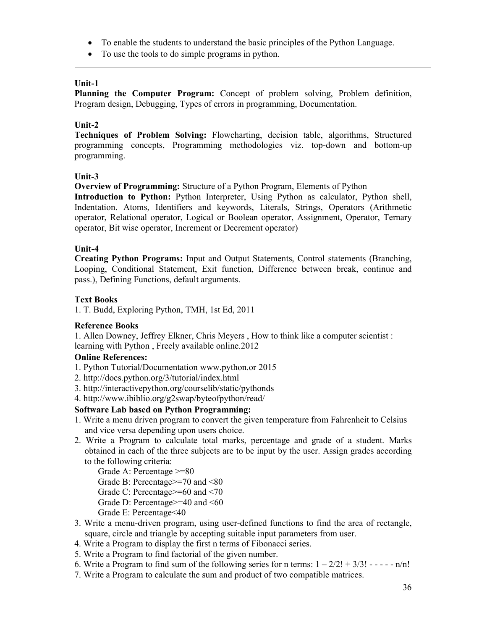- To enable the students to understand the basic principles of the Python Language.
- To use the tools to do simple programs in python.

#### **Unit-1**

**Planning the Computer Program:** Concept of problem solving, Problem definition, Program design, Debugging, Types of errors in programming, Documentation.

#### **Unit-2**

**Techniques of Problem Solving:** Flowcharting, decision table, algorithms, Structured programming concepts, Programming methodologies viz. top-down and bottom-up programming.

#### **Unit-3**

**Overview of Programming:** Structure of a Python Program, Elements of Python

**Introduction to Python:** Python Interpreter, Using Python as calculator, Python shell, Indentation. Atoms, Identifiers and keywords, Literals, Strings, Operators (Arithmetic operator, Relational operator, Logical or Boolean operator, Assignment, Operator, Ternary operator, Bit wise operator, Increment or Decrement operator)

#### **Unit-4**

**Creating Python Programs:** Input and Output Statements, Control statements (Branching, Looping, Conditional Statement, Exit function, Difference between break, continue and pass.), Defining Functions, default arguments.

#### **Text Books**

1. T. Budd, Exploring Python, TMH, 1st Ed, 2011

#### **Reference Books**

1. Allen Downey, Jeffrey Elkner, Chris Meyers , How to think like a computer scientist : learning with Python , Freely available online.2012

#### **Online References:**

- 1. Python Tutorial/Documentation www.python.or 2015
- 2. http://docs.python.org/3/tutorial/index.html
- 3. http://interactivepython.org/courselib/static/pythonds
- 4. http://www.ibiblio.org/g2swap/byteofpython/read/

# **Software Lab based on Python Programming:**

- 1. Write a menu driven program to convert the given temperature from Fahrenheit to Celsius and vice versa depending upon users choice.
- 2. Write a Program to calculate total marks, percentage and grade of a student. Marks obtained in each of the three subjects are to be input by the user. Assign grades according to the following criteria:

Grade A: Percentage >=80

Grade B: Percentage>=70 and <80

Grade C: Percentage>=60 and <70

Grade D: Percentage>=40 and <60

- Grade E: Percentage<40
- 3. Write a menu-driven program, using user-defined functions to find the area of rectangle, square, circle and triangle by accepting suitable input parameters from user.
- 4. Write a Program to display the first n terms of Fibonacci series.
- 5. Write a Program to find factorial of the given number.
- 6. Write a Program to find sum of the following series for n terms:  $1 2/2! + 3/3! - - n/n!$
- 7. Write a Program to calculate the sum and product of two compatible matrices.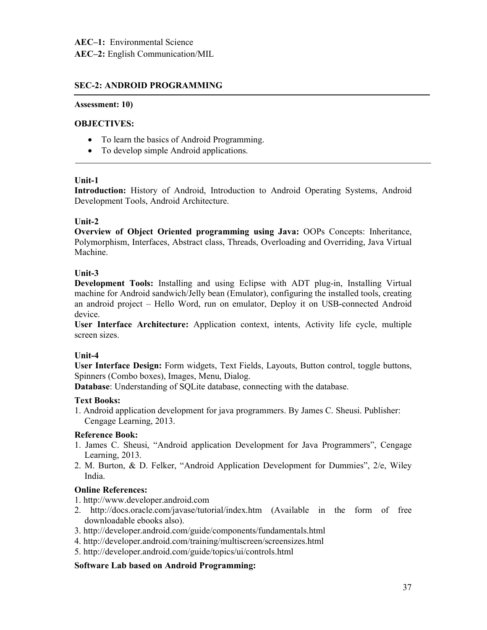# **SEC-2: ANDROID PROGRAMMING**

#### **Assessment: 10)**

# **OBJECTIVES:**

- To learn the basics of Android Programming.
- To develop simple Android applications.

#### **Unit-1**

**Introduction:** History of Android, Introduction to Android Operating Systems, Android Development Tools, Android Architecture.

#### **Unit-2**

**Overview of Object Oriented programming using Java:** OOPs Concepts: Inheritance, Polymorphism, Interfaces, Abstract class, Threads, Overloading and Overriding, Java Virtual Machine.

#### **Unit-3**

**Development Tools:** Installing and using Eclipse with ADT plug-in, Installing Virtual machine for Android sandwich/Jelly bean (Emulator), configuring the installed tools, creating an android project – Hello Word, run on emulator, Deploy it on USB-connected Android device.

**User Interface Architecture:** Application context, intents, Activity life cycle, multiple screen sizes.

#### **Unit-4**

**User Interface Design:** Form widgets, Text Fields, Layouts, Button control, toggle buttons, Spinners (Combo boxes), Images, Menu, Dialog.

**Database**: Understanding of SQLite database, connecting with the database.

#### **Text Books:**

1. Android application development for java programmers. By James C. Sheusi. Publisher: Cengage Learning, 2013.

#### **Reference Book:**

- 1. James C. Sheusi, "Android application Development for Java Programmers", Cengage Learning, 2013.
- 2. M. Burton, & D. Felker, "Android Application Development for Dummies", 2/e, Wiley India.

#### **Online References:**

- 1. http://www.developer.android.com
- 2. http://docs.oracle.com/javase/tutorial/index.htm (Available in the form of free downloadable ebooks also).
- 3. http://developer.android.com/guide/components/fundamentals.html
- 4. http://developer.android.com/training/multiscreen/screensizes.html
- 5. http://developer.android.com/guide/topics/ui/controls.html

#### **Software Lab based on Android Programming:**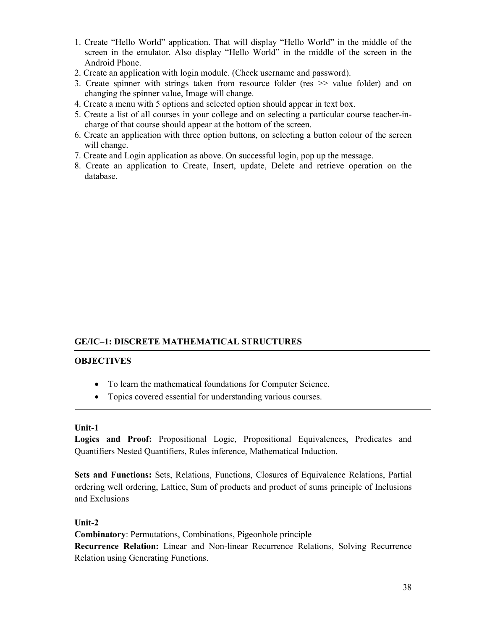- 1. Create "Hello World" application. That will display "Hello World" in the middle of the screen in the emulator. Also display "Hello World" in the middle of the screen in the Android Phone.
- 2. Create an application with login module. (Check username and password).
- 3. Create spinner with strings taken from resource folder (res >> value folder) and on changing the spinner value, Image will change.
- 4. Create a menu with 5 options and selected option should appear in text box.
- 5. Create a list of all courses in your college and on selecting a particular course teacher-incharge of that course should appear at the bottom of the screen.
- 6. Create an application with three option buttons, on selecting a button colour of the screen will change.
- 7. Create and Login application as above. On successful login, pop up the message.
- 8. Create an application to Create, Insert, update, Delete and retrieve operation on the database.

# **GE/IC–1: DISCRETE MATHEMATICAL STRUCTURES**

#### **OBJECTIVES**

- To learn the mathematical foundations for Computer Science.
- Topics covered essential for understanding various courses.

#### **Unit-1**

**Logics and Proof:** Propositional Logic, Propositional Equivalences, Predicates and Quantifiers Nested Quantifiers, Rules inference, Mathematical Induction.

**Sets and Functions:** Sets, Relations, Functions, Closures of Equivalence Relations, Partial ordering well ordering, Lattice, Sum of products and product of sums principle of Inclusions and Exclusions

#### **Unit-2**

**Combinatory**: Permutations, Combinations, Pigeonhole principle

**Recurrence Relation:** Linear and Non-linear Recurrence Relations, Solving Recurrence Relation using Generating Functions.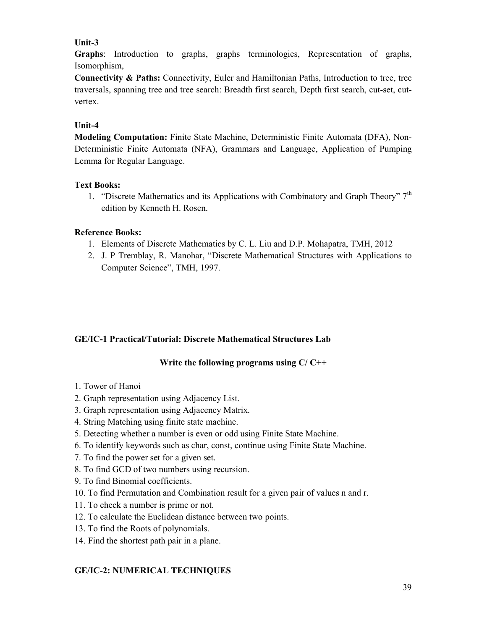# **Unit-3**

**Graphs**: Introduction to graphs, graphs terminologies, Representation of graphs, Isomorphism,

**Connectivity & Paths:** Connectivity, Euler and Hamiltonian Paths, Introduction to tree, tree traversals, spanning tree and tree search: Breadth first search, Depth first search, cut-set, cutvertex.

# **Unit-4**

**Modeling Computation:** Finite State Machine, Deterministic Finite Automata (DFA), Non-Deterministic Finite Automata (NFA), Grammars and Language, Application of Pumping Lemma for Regular Language.

# **Text Books:**

1. "Discrete Mathematics and its Applications with Combinatory and Graph Theory"  $7<sup>th</sup>$ edition by Kenneth H. Rosen.

# **Reference Books:**

- 1. Elements of Discrete Mathematics by C. L. Liu and D.P. Mohapatra, TMH, 2012
- 2. J. P Tremblay, R. Manohar, "Discrete Mathematical Structures with Applications to Computer Science", TMH, 1997.

# **GE/IC-1 Practical/Tutorial: Discrete Mathematical Structures Lab**

# **Write the following programs using C/ C++**

- 1. Tower of Hanoi
- 2. Graph representation using Adjacency List.
- 3. Graph representation using Adjacency Matrix.
- 4. String Matching using finite state machine.
- 5. Detecting whether a number is even or odd using Finite State Machine.
- 6. To identify keywords such as char, const, continue using Finite State Machine.
- 7. To find the power set for a given set.
- 8. To find GCD of two numbers using recursion.
- 9. To find Binomial coefficients.
- 10. To find Permutation and Combination result for a given pair of values n and r.
- 11. To check a number is prime or not.
- 12. To calculate the Euclidean distance between two points.
- 13. To find the Roots of polynomials.
- 14. Find the shortest path pair in a plane.

# **GE/IC-2: NUMERICAL TECHNIQUES**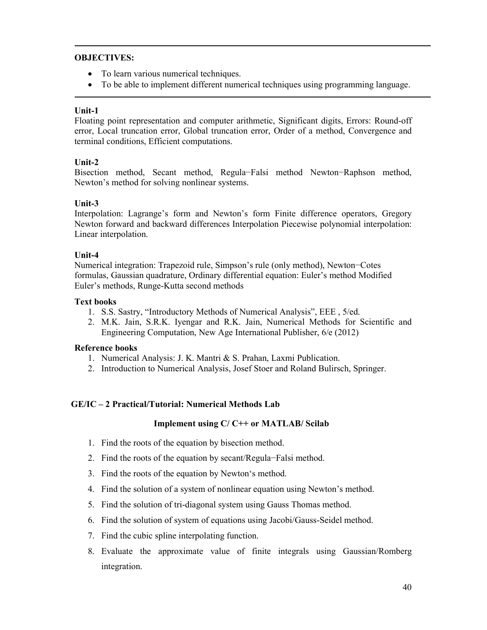#### **OBJECTIVES:**

- To learn various numerical techniques.
- To be able to implement different numerical techniques using programming language.

#### **Unit-1**

Floating point representation and computer arithmetic, Significant digits, Errors: Round-off error, Local truncation error, Global truncation error, Order of a method, Convergence and terminal conditions, Efficient computations.

#### **Unit-2**

Bisection method, Secant method, Regula−Falsi method Newton−Raphson method, Newton's method for solving nonlinear systems.

#### **Unit-3**

Interpolation: Lagrange's form and Newton's form Finite difference operators, Gregory Newton forward and backward differences Interpolation Piecewise polynomial interpolation: Linear interpolation.

#### **Unit-4**

Numerical integration: Trapezoid rule, Simpson's rule (only method), Newton−Cotes formulas, Gaussian quadrature, Ordinary differential equation: Euler's method Modified Euler's methods, Runge-Kutta second methods

#### **Text books**

- 1. S.S. Sastry, "Introductory Methods of Numerical Analysis", EEE , 5/ed.
- 2. M.K. Jain, S.R.K. Iyengar and R.K. Jain, Numerical Methods for Scientific and Engineering Computation, New Age International Publisher, 6/e (2012)

#### **Reference books**

- 1. Numerical Analysis: J. K. Mantri & S. Prahan, Laxmi Publication.
- 2. Introduction to Numerical Analysis, Josef Stoer and Roland Bulirsch, Springer.

# **GE/IC – 2 Practical/Tutorial: Numerical Methods Lab**

#### **Implement using C/ C++ or MATLAB/ Scilab**

- 1. Find the roots of the equation by bisection method.
- 2. Find the roots of the equation by secant/Regula−Falsi method.
- 3. Find the roots of the equation by Newton's method.
- 4. Find the solution of a system of nonlinear equation using Newton's method.
- 5. Find the solution of tri-diagonal system using Gauss Thomas method.
- 6. Find the solution of system of equations using Jacobi/Gauss-Seidel method.
- 7. Find the cubic spline interpolating function.
- 8. Evaluate the approximate value of finite integrals using Gaussian/Romberg integration.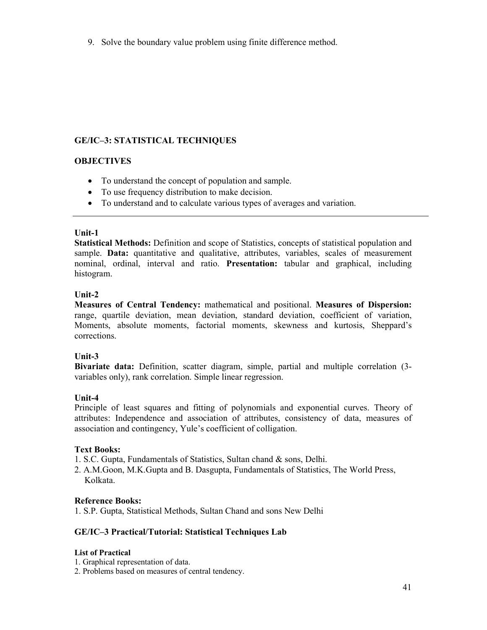9. Solve the boundary value problem using finite difference method.

# **GE/IC–3: STATISTICAL TECHNIQUES**

# **OBJECTIVES**

- To understand the concept of population and sample.
- To use frequency distribution to make decision.
- To understand and to calculate various types of averages and variation.

#### **Unit-1**

**Statistical Methods:** Definition and scope of Statistics, concepts of statistical population and sample. **Data:** quantitative and qualitative, attributes, variables, scales of measurement nominal, ordinal, interval and ratio. **Presentation:** tabular and graphical, including histogram.

#### **Unit-2**

**Measures of Central Tendency:** mathematical and positional. **Measures of Dispersion:**  range, quartile deviation, mean deviation, standard deviation, coefficient of variation, Moments, absolute moments, factorial moments, skewness and kurtosis, Sheppard's corrections.

# **Unit-3**

**Bivariate data:** Definition, scatter diagram, simple, partial and multiple correlation (3 variables only), rank correlation. Simple linear regression.

# **Unit-4**

Principle of least squares and fitting of polynomials and exponential curves. Theory of attributes: Independence and association of attributes, consistency of data, measures of association and contingency, Yule's coefficient of colligation.

# **Text Books:**

- 1. S.C. Gupta, Fundamentals of Statistics, Sultan chand & sons, Delhi.
- 2. A.M.Goon, M.K.Gupta and B. Dasgupta, Fundamentals of Statistics, The World Press, Kolkata.

# **Reference Books:**

1. S.P. Gupta, Statistical Methods, Sultan Chand and sons New Delhi

# **GE/IC–3 Practical/Tutorial: Statistical Techniques Lab**

#### **List of Practical**

- 1. Graphical representation of data.
- 2. Problems based on measures of central tendency.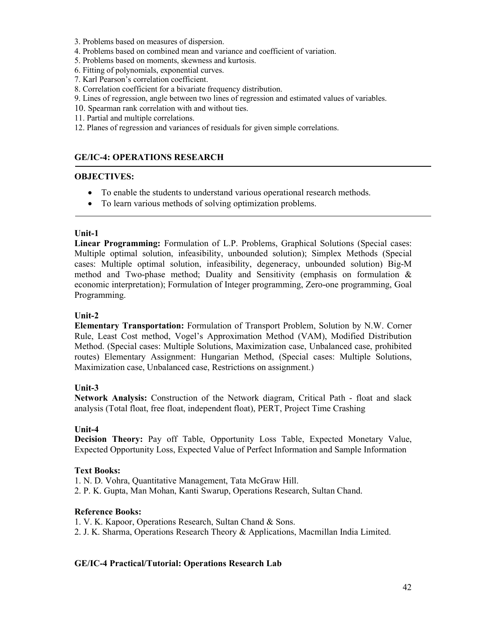- 3. Problems based on measures of dispersion.
- 4. Problems based on combined mean and variance and coefficient of variation.
- 5. Problems based on moments, skewness and kurtosis.
- 6. Fitting of polynomials, exponential curves.
- 7. Karl Pearson's correlation coefficient.
- 8. Correlation coefficient for a bivariate frequency distribution.
- 9. Lines of regression, angle between two lines of regression and estimated values of variables.
- 10. Spearman rank correlation with and without ties.
- 11. Partial and multiple correlations.
- 12. Planes of regression and variances of residuals for given simple correlations.

# **GE/IC-4: OPERATIONS RESEARCH**

#### **OBJECTIVES:**

- To enable the students to understand various operational research methods.
- To learn various methods of solving optimization problems.

#### **Unit-1**

**Linear Programming:** Formulation of L.P. Problems, Graphical Solutions (Special cases: Multiple optimal solution, infeasibility, unbounded solution); Simplex Methods (Special cases: Multiple optimal solution, infeasibility, degeneracy, unbounded solution) Big-M method and Two-phase method; Duality and Sensitivity (emphasis on formulation  $\&$ economic interpretation); Formulation of Integer programming, Zero-one programming, Goal Programming.

#### **Unit-2**

**Elementary Transportation:** Formulation of Transport Problem, Solution by N.W. Corner Rule, Least Cost method, Vogel's Approximation Method (VAM), Modified Distribution Method. (Special cases: Multiple Solutions, Maximization case, Unbalanced case, prohibited routes) Elementary Assignment: Hungarian Method, (Special cases: Multiple Solutions, Maximization case, Unbalanced case, Restrictions on assignment.)

#### **Unit-3**

**Network Analysis:** Construction of the Network diagram, Critical Path - float and slack analysis (Total float, free float, independent float), PERT, Project Time Crashing

#### **Unit-4**

**Decision Theory:** Pay off Table, Opportunity Loss Table, Expected Monetary Value, Expected Opportunity Loss, Expected Value of Perfect Information and Sample Information

# **Text Books:**

1. N. D. Vohra, Quantitative Management, Tata McGraw Hill. 2. P. K. Gupta, Man Mohan, Kanti Swarup, Operations Research, Sultan Chand.

# **Reference Books:**

1. V. K. Kapoor, Operations Research, Sultan Chand & Sons. 2. J. K. Sharma, Operations Research Theory & Applications, Macmillan India Limited.

# **GE/IC-4 Practical/Tutorial: Operations Research Lab**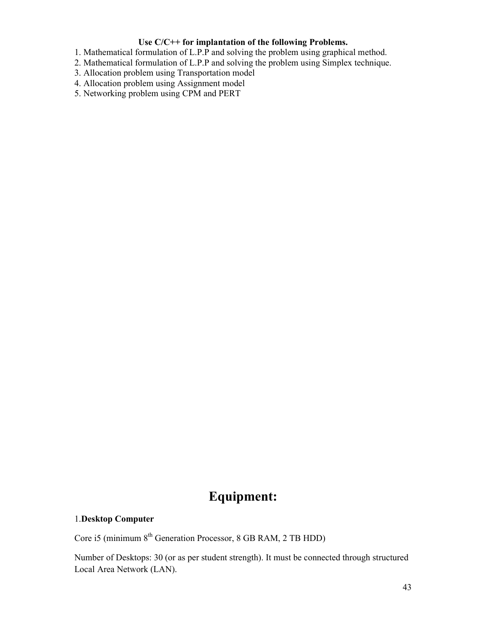#### **Use C/C++ for implantation of the following Problems.**

- 1. Mathematical formulation of L.P.P and solving the problem using graphical method.
- 2. Mathematical formulation of L.P.P and solving the problem using Simplex technique.
- 3. Allocation problem using Transportation model
- 4. Allocation problem using Assignment model
- 5. Networking problem using CPM and PERT

# **Equipment:**

# 1.**Desktop Computer**

Core i5 (minimum 8<sup>th</sup> Generation Processor, 8 GB RAM, 2 TB HDD)

Number of Desktops: 30 (or as per student strength). It must be connected through structured Local Area Network (LAN).